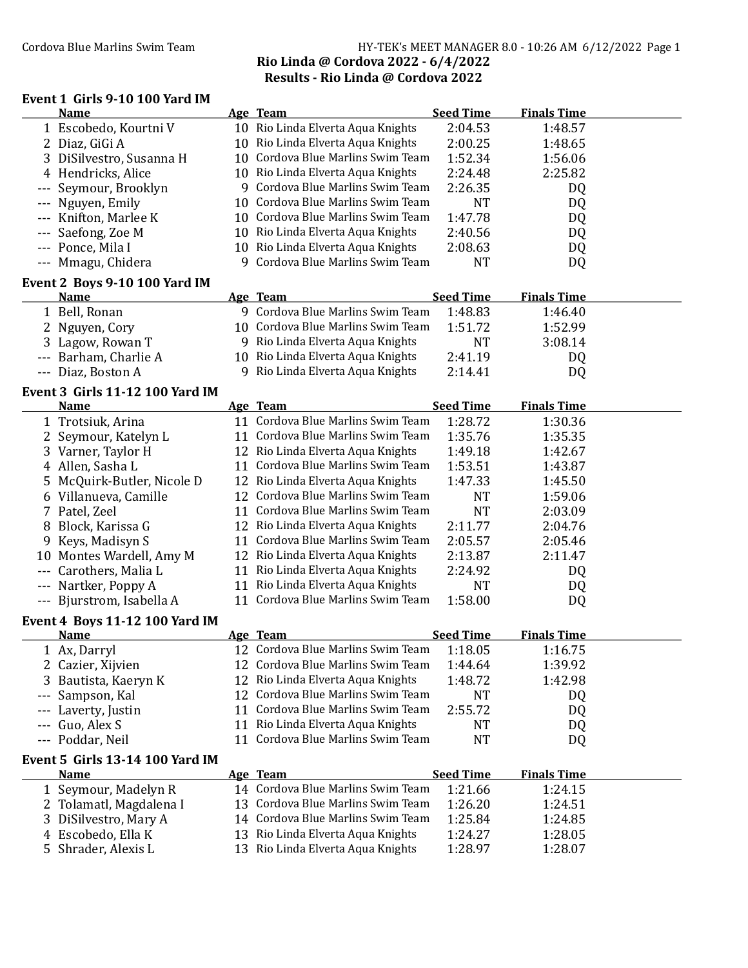## Cordova Blue Marlins Swim Team Team HY-TEK's MEET MANAGER 8.0 - 10:26 AM 6/12/2022 Page 1 Rio Linda @ Cordova 2022 - 6/4/2022 Results - Rio Linda @ Cordova 2022

## Event 1 Girls 9-10 100 Yard IM

|         | Name                                                 |   | Age Team                                  | <b>Seed Time</b> | <b>Finals Time</b> |  |
|---------|------------------------------------------------------|---|-------------------------------------------|------------------|--------------------|--|
|         | 1 Escobedo, Kourtni V                                |   | 10 Rio Linda Elverta Aqua Knights         | 2:04.53          | 1:48.57            |  |
|         | 2 Diaz, GiGi A                                       |   | 10 Rio Linda Elverta Aqua Knights         | 2:00.25          | 1:48.65            |  |
|         | 3 DiSilvestro, Susanna H                             |   | 10 Cordova Blue Marlins Swim Team         | 1:52.34          | 1:56.06            |  |
|         | 4 Hendricks, Alice                                   |   | 10 Rio Linda Elverta Aqua Knights         | 2:24.48          | 2:25.82            |  |
|         | Seymour, Brooklyn                                    |   | 9 Cordova Blue Marlins Swim Team          | 2:26.35          | DQ                 |  |
|         | Nguyen, Emily                                        |   | 10 Cordova Blue Marlins Swim Team         | <b>NT</b>        | DQ                 |  |
|         | Knifton, Marlee K                                    |   | 10 Cordova Blue Marlins Swim Team         | 1:47.78          | DQ                 |  |
|         | Saefong, Zoe M                                       |   | 10 Rio Linda Elverta Aqua Knights         | 2:40.56          | DQ                 |  |
|         | --- Ponce, Mila I                                    |   | 10 Rio Linda Elverta Aqua Knights         | 2:08.63          | DQ                 |  |
|         | --- Mmagu, Chidera                                   | 9 | Cordova Blue Marlins Swim Team            | <b>NT</b>        | DQ                 |  |
|         | Event 2 Boys 9-10 100 Yard IM                        |   |                                           |                  |                    |  |
|         | <b>Name</b>                                          |   | Age Team                                  | <b>Seed Time</b> | <b>Finals Time</b> |  |
|         | 1 Bell, Ronan                                        |   | 9 Cordova Blue Marlins Swim Team          | 1:48.83          | 1:46.40            |  |
|         | 2 Nguyen, Cory                                       |   | 10 Cordova Blue Marlins Swim Team         | 1:51.72          | 1:52.99            |  |
|         | 3 Lagow, Rowan T                                     |   | 9 Rio Linda Elverta Aqua Knights          | <b>NT</b>        | 3:08.14            |  |
|         | --- Barham, Charlie A                                |   | 10 Rio Linda Elverta Aqua Knights         | 2:41.19          | DQ                 |  |
|         | --- Diaz, Boston A                                   |   | 9 Rio Linda Elverta Aqua Knights          | 2:14.41          | DQ                 |  |
|         | <b>Event 3 Girls 11-12 100 Yard IM</b>               |   |                                           |                  |                    |  |
|         | <b>Name</b>                                          |   | Age Team                                  | <b>Seed Time</b> | <b>Finals Time</b> |  |
|         | 1 Trotsiuk, Arina                                    |   | 11 Cordova Blue Marlins Swim Team         | 1:28.72          | 1:30.36            |  |
|         | 2 Seymour, Katelyn L                                 |   | 11 Cordova Blue Marlins Swim Team         | 1:35.76          | 1:35.35            |  |
|         | 3 Varner, Taylor H                                   |   | 12 Rio Linda Elverta Aqua Knights         | 1:49.18          | 1:42.67            |  |
|         | 4 Allen, Sasha L                                     |   | 11 Cordova Blue Marlins Swim Team         | 1:53.51          | 1:43.87            |  |
|         | 5 McQuirk-Butler, Nicole D                           |   | 12 Rio Linda Elverta Aqua Knights         | 1:47.33          | 1:45.50            |  |
|         | 6 Villanueva, Camille                                |   | 12 Cordova Blue Marlins Swim Team         | <b>NT</b>        | 1:59.06            |  |
|         | 7 Patel, Zeel                                        |   | 11 Cordova Blue Marlins Swim Team         | <b>NT</b>        | 2:03.09            |  |
|         | 8 Block, Karissa G                                   |   | 12 Rio Linda Elverta Aqua Knights         | 2:11.77          | 2:04.76            |  |
|         | 9 Keys, Madisyn S                                    |   | 11 Cordova Blue Marlins Swim Team         | 2:05.57          | 2:05.46            |  |
|         | 10 Montes Wardell, Amy M                             |   | 12 Rio Linda Elverta Aqua Knights         | 2:13.87          | 2:11.47            |  |
|         | --- Carothers, Malia L                               |   | 11 Rio Linda Elverta Aqua Knights         | 2:24.92          | DQ                 |  |
|         | --- Nartker, Poppy A                                 |   | 11 Rio Linda Elverta Aqua Knights         | <b>NT</b>        | DQ                 |  |
|         | --- Bjurstrom, Isabella A                            |   | 11 Cordova Blue Marlins Swim Team         | 1:58.00          | DQ                 |  |
|         |                                                      |   |                                           |                  |                    |  |
|         | <b>Event 4 Boys 11-12 100 Yard IM</b><br><b>Name</b> |   | Age Team                                  | <b>Seed Time</b> | <b>Finals Time</b> |  |
|         | 1 Ax, Darryl                                         |   | 12 Cordova Blue Marlins Swim Team 1:18.05 |                  | 1:16.75            |  |
|         | 2 Cazier, Xijvien                                    |   | 12 Cordova Blue Marlins Swim Team         | 1:44.64          | 1:39.92            |  |
|         | 3 Bautista, Kaeryn K                                 |   | 12 Rio Linda Elverta Aqua Knights         | 1:48.72          | 1:42.98            |  |
|         |                                                      |   | 12 Cordova Blue Marlins Swim Team         | <b>NT</b>        |                    |  |
|         | Sampson, Kal                                         |   | 11 Cordova Blue Marlins Swim Team         | 2:55.72          | DQ                 |  |
|         | Laverty, Justin                                      |   | 11 Rio Linda Elverta Aqua Knights         |                  | DQ                 |  |
|         | Guo, Alex S                                          |   | 11 Cordova Blue Marlins Swim Team         | <b>NT</b>        | DQ                 |  |
| $- - -$ | Poddar, Neil                                         |   |                                           | <b>NT</b>        | DQ                 |  |
|         | <b>Event 5 Girls 13-14 100 Yard IM</b>               |   |                                           |                  |                    |  |
|         | <b>Name</b>                                          |   | Age Team                                  | <b>Seed Time</b> | <b>Finals Time</b> |  |
|         | 1 Seymour, Madelyn R                                 |   | 14 Cordova Blue Marlins Swim Team         | 1:21.66          | 1:24.15            |  |
|         | 2 Tolamatl, Magdalena I                              |   | 13 Cordova Blue Marlins Swim Team         | 1:26.20          | 1:24.51            |  |
|         | 3 DiSilvestro, Mary A                                |   | 14 Cordova Blue Marlins Swim Team         | 1:25.84          | 1:24.85            |  |
|         | 4 Escobedo, Ella K                                   |   | 13 Rio Linda Elverta Aqua Knights         | 1:24.27          | 1:28.05            |  |
|         | 5 Shrader, Alexis L                                  |   | 13 Rio Linda Elverta Aqua Knights         | 1:28.97          | 1:28.07            |  |
|         |                                                      |   |                                           |                  |                    |  |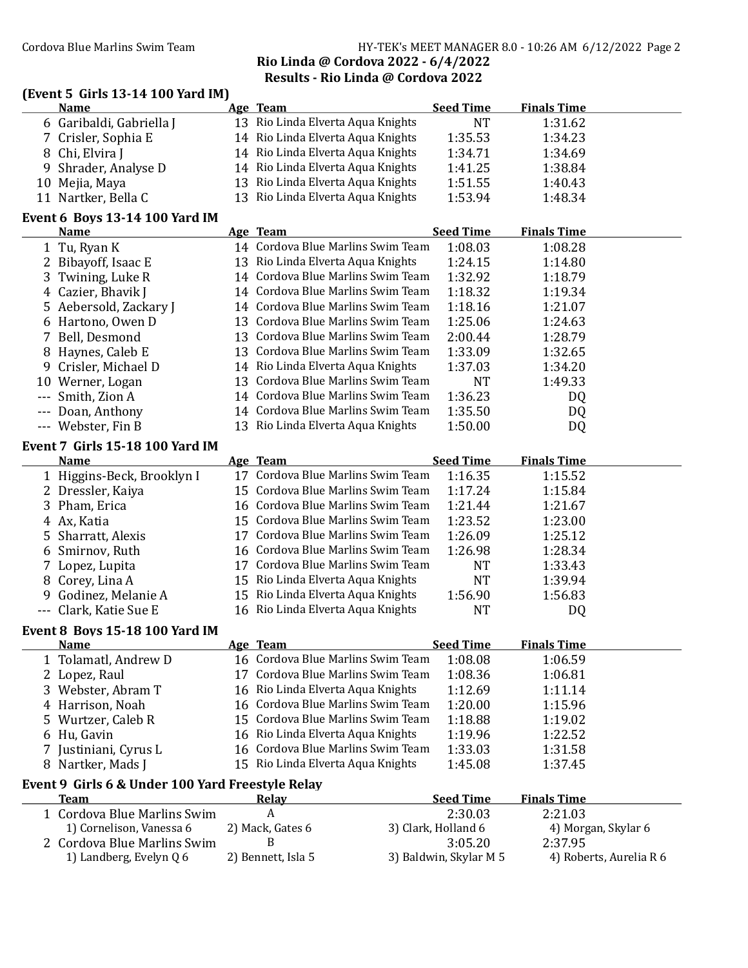## Cordova Blue Marlins Swim Team HY-TEK's MEET MANAGER 8.0 - 10:26 AM 6/12/2022 Page 2 Rio Linda @ Cordova 2022 - 6/4/2022 Results - Rio Linda @ Cordova 2022

## (Event 5 Girls 13-14 100 Yard IM) Name Age Team Seed Time Finals Time 6 Garibaldi, Gabriella J 13 Rio Linda Elverta Aqua Knights NT 1:31.62 7 Crisler, Sophia E 14 Rio Linda Elverta Aqua Knights 1:35.53 1:34.23 8 Chi, Elvira J 14 Rio Linda Elverta Aqua Knights 1:34.71 1:34.69 9 Shrader, Analyse D 14 Rio Linda Elverta Aqua Knights 1:41.25 1:38.84 10 Mejia, Maya 13 Rio Linda Elverta Aqua Knights 1:51.55 1:40.43 11 Nartker, Bella C 13 Rio Linda Elverta Aqua Knights 1:53.94 1:48.34 Event 6 Boys 13-14 100 Yard IM Name **Age Team** Seed Time Finals Time 1 Tu, Rvan K 14 Cordova Blue Marlins Swim Team 1:08.03 1:08.28 2 Bibayoff, Isaac E 13 Rio Linda Elverta Aqua Knights 1:24.15 1:14.80 3 Twining, Luke R 14 Cordova Blue Marlins Swim Team 1:32.92 1:18.79 4 Cazier, Bhavik J 14 Cordova Blue Marlins Swim Team 1:18.32 1:19.34 5 Aebersold, Zackary J 14 Cordova Blue Marlins Swim Team 1:18.16 1:21.07 6 Hartono, Owen D 13 Cordova Blue Marlins Swim Team 1:25.06 1:24.63 7 Bell, Desmond 13 Cordova Blue Marlins Swim Team 2:00.44 1:28.79 8 Havnes, Caleb E 13 Cordova Blue Marlins Swim Team 1:33.09 1:32.65 9 Crisler, Michael D 14 Rio Linda Elverta Aqua Knights 1:37.03 1:34.20 10 Werner, Logan 13 Cordova Blue Marlins Swim Team NT 1:49.33 --- Smith, Zion A 14 Cordova Blue Marlins Swim Team 1:36.23 DQ --- Doan, Anthony 14 Cordova Blue Marlins Swim Team 1:35.50 DQ --- Webster, Fin B 13 Rio Linda Elverta Aqua Knights 1:50.00 DQ Event 7 Girls 15-18 100 Yard IM Name **Age Team** Seed Time Finals Time 1 Higgins-Beck, Brooklyn I 17 Cordova Blue Marlins Swim Team 1:16.35 1:15.52 2 Dressler, Kaiya 15 Cordova Blue Marlins Swim Team 1:17.24 1:15.84 3 Pham, Erica 16 Cordova Blue Marlins Swim Team 1:21.44 1:21.67 4 Ax, Katia 15 Cordova Blue Marlins Swim Team 1:23.52 1:23.00 5 Sharratt, Alexis 17 Cordova Blue Marlins Swim Team 1:26.09 1:25.12 6 Smirnov, Ruth 16 Cordova Blue Marlins Swim Team 1:26.98 1:28.34 7 Lopez, Lupita 17 Cordova Blue Marlins Swim Team NT 1:33.43 8 Corey, Lina A 15 Rio Linda Elverta Aqua Knights NT 1:39.94 9 Godinez, Melanie A 15 Rio Linda Elverta Aqua Knights 1:56.90 1:56.83 --- Clark, Katie Sue E 16 Rio Linda Elverta Aqua Knights NT DQ Event 8 Boys 15-18 100 Yard IM Name Age Team Seed Time Finals Time 1 Tolamatl, Andrew D 16 Cordova Blue Marlins Swim Team 1:08.08 1:06.59 2 Lopez, Raul 17 Cordova Blue Marlins Swim Team 1:08.36 1:06.81 3 Webster, Abram T 16 Rio Linda Elverta Aqua Knights 1:12.69 1:11.14 4 Harrison, Noah 16 Cordova Blue Marlins Swim Team 1:20.00 1:15.96 5 Wurtzer, Caleb R 15 Cordova Blue Marlins Swim Team 1:18.88 1:19.02 6 Hu, Gavin 16 Rio Linda Elverta Aqua Knights 1:19.96 1:22.52 7 Justiniani, Cyrus L 16 Cordova Blue Marlins Swim Team 1:33.03 1:31.58 8 Nartker, Mads J 15 Rio Linda Elverta Aqua Knights 1:45.08 1:37.45 Event 9 Girls 6 & Under 100 Yard Freestyle Relay Team Relay Relay Seed Time Finals Time 1 Cordova Blue Marlins Swim A 2:30.03 2:21.03 1) Cornelison, Vanessa 6 2) Mack, Gates 6 3) Clark, Holland 6 4) Morgan, Skylar 6 2 Cordova Blue Marlins Swim B 3:05.20 2:37.95 1) Landberg, Evelyn Q 6 2) Bennett, Isla 5 3) Baldwin, Skylar M 5 4) Roberts, Aurelia R 6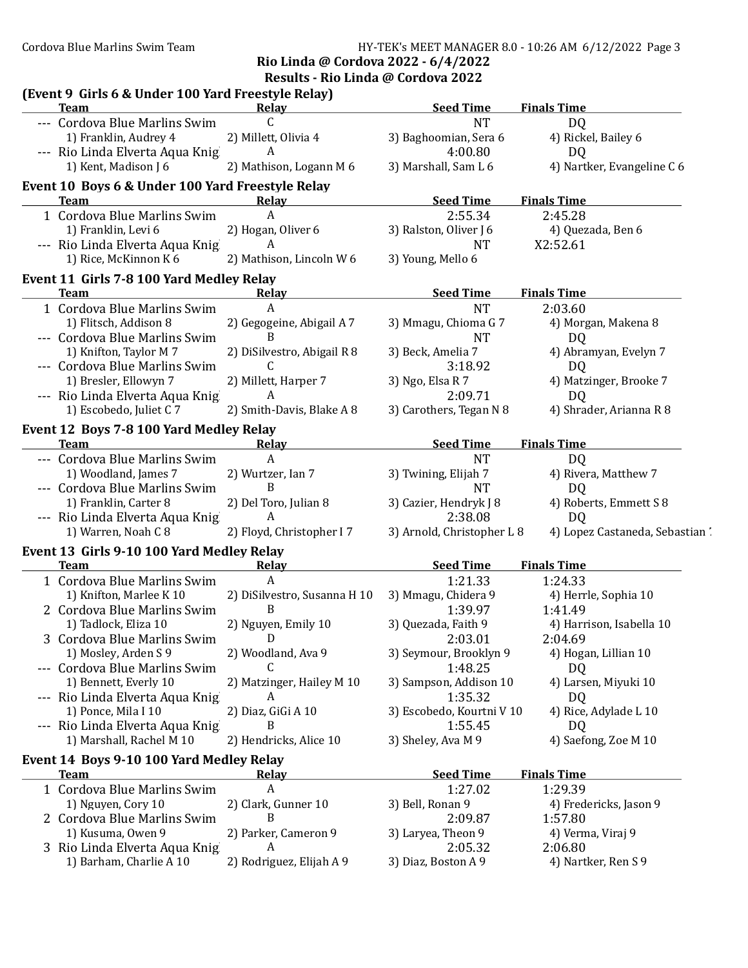Cordova Blue Marlins Swim Team Team HY-TEK's MEET MANAGER 8.0 - 10:26 AM 6/12/2022 Page 3

Rio Linda @ Cordova 2022 - 6/4/2022

Results - Rio Linda @ Cordova 2022

| (Event 9 Girls 6 & Under 100 Yard Freestyle Relay)<br><b>Team</b> | Relay                          | <b>Seed Time</b>                      | <b>Finals Time</b>                                |
|-------------------------------------------------------------------|--------------------------------|---------------------------------------|---------------------------------------------------|
| --- Cordova Blue Marlins Swim                                     | C                              | <b>NT</b>                             | D <sub>Q</sub>                                    |
| 1) Franklin, Audrey 4                                             | 2) Millett, Olivia 4           | 3) Baghoomian, Sera 6                 | 4) Rickel, Bailey 6                               |
| --- Rio Linda Elverta Aqua Knig                                   | A                              | 4:00.80                               | D <sub>Q</sub>                                    |
| 1) Kent, Madison J 6                                              | 2) Mathison, Logann M 6        | 3) Marshall, Sam L 6                  | 4) Nartker, Evangeline C 6                        |
| Event 10 Boys 6 & Under 100 Yard Freestyle Relay                  |                                |                                       |                                                   |
| <b>Team</b>                                                       | Relay                          | <b>Seed Time</b>                      | <b>Finals Time</b>                                |
| 1 Cordova Blue Marlins Swim                                       | A                              | 2:55.34                               | 2:45.28                                           |
| 1) Franklin, Levi 6                                               | 2) Hogan, Oliver 6             | 3) Ralston, Oliver J 6                | 4) Quezada, Ben 6                                 |
| --- Rio Linda Elverta Aqua Knig                                   | A                              | <b>NT</b>                             | X2:52.61                                          |
| 1) Rice, McKinnon K 6                                             | 2) Mathison, Lincoln W 6       | 3) Young, Mello 6                     |                                                   |
| Event 11 Girls 7-8 100 Yard Medley Relay                          |                                |                                       |                                                   |
| Team                                                              | <b>Relay</b>                   | <b>Seed Time</b>                      | <b>Finals Time</b>                                |
| 1 Cordova Blue Marlins Swim                                       | A                              | <b>NT</b>                             | 2:03.60                                           |
| 1) Flitsch, Addison 8                                             | 2) Gegogeine, Abigail A 7      | 3) Mmagu, Chioma G 7                  | 4) Morgan, Makena 8                               |
| --- Cordova Blue Marlins Swim                                     | B                              | <b>NT</b>                             | D <sub>Q</sub>                                    |
| 1) Knifton, Taylor M 7                                            | 2) DiSilvestro, Abigail R 8    | 3) Beck, Amelia 7                     | 4) Abramyan, Evelyn 7                             |
| --- Cordova Blue Marlins Swim                                     | C                              | 3:18.92                               | D <sub>Q</sub>                                    |
| 1) Bresler, Ellowyn 7                                             | 2) Millett, Harper 7           | 3) Ngo, Elsa R 7                      | 4) Matzinger, Brooke 7                            |
| --- Rio Linda Elverta Aqua Knig                                   | A                              | 2:09.71                               | D <sub>Q</sub>                                    |
| 1) Escobedo, Juliet C 7                                           | 2) Smith-Davis, Blake A 8      | 3) Carothers, Tegan N 8               | 4) Shrader, Arianna R 8                           |
|                                                                   |                                |                                       |                                                   |
| Event 12 Boys 7-8 100 Yard Medley Relay<br><b>Team</b>            | Relay                          | <b>Seed Time</b>                      | <b>Finals Time</b>                                |
| --- Cordova Blue Marlins Swim                                     | A                              | <b>NT</b>                             | D <sub>Q</sub>                                    |
|                                                                   |                                |                                       |                                                   |
| 1) Woodland, James 7                                              | 2) Wurtzer, Ian 7<br>B         | 3) Twining, Elijah 7                  | 4) Rivera, Matthew 7                              |
| --- Cordova Blue Marlins Swim                                     |                                | <b>NT</b>                             | DQ                                                |
| 1) Franklin, Carter 8                                             | 2) Del Toro, Julian 8          | 3) Cazier, Hendryk J 8                | 4) Roberts, Emmett S 8                            |
| --- Rio Linda Elverta Aqua Knig<br>1) Warren, Noah C 8            | A<br>2) Floyd, Christopher I 7 | 2:38.08<br>3) Arnold, Christopher L 8 | D <sub>Q</sub><br>4) Lopez Castaneda, Sebastian ' |
|                                                                   |                                |                                       |                                                   |
| Event 13 Girls 9-10 100 Yard Medley Relay                         |                                |                                       |                                                   |
| <b>Team</b>                                                       | Relay<br>A                     | <b>Seed Time</b><br>1:21.33           | <b>Finals Time</b>                                |
| 1 Cordova Blue Marlins Swim                                       |                                |                                       | 1:24.33                                           |
| 1) Knifton, Marlee K 10                                           | 2) DiSilvestro, Susanna H 10   | 3) Mmagu, Chidera 9                   | 4) Herrle, Sophia 10                              |
| 2 Cordova Blue Marlins Swim                                       | B                              | 1:39.97                               | 1:41.49                                           |
| 1) Tadlock, Eliza 10                                              | 2) Nguyen, Emily 10            | 3) Quezada, Faith 9                   | 4) Harrison, Isabella 10                          |
|                                                                   |                                |                                       |                                                   |
| 3 Cordova Blue Marlins Swim                                       | D                              | 2:03.01                               | 2:04.69                                           |
| 1) Mosley, Arden S 9                                              | 2) Woodland, Ava 9             | 3) Seymour, Brooklyn 9                | 4) Hogan, Lillian 10                              |
| --- Cordova Blue Marlins Swim                                     | C                              | 1:48.25                               | DQ                                                |
| 1) Bennett, Everly 10                                             | 2) Matzinger, Hailey M 10      | 3) Sampson, Addison 10                | 4) Larsen, Miyuki 10                              |
| --- Rio Linda Elverta Aqua Knig                                   | A                              | 1:35.32                               | DQ                                                |
| 1) Ponce, Mila I 10                                               | 2) Diaz, GiGi A 10             | 3) Escobedo, Kourtni V 10             | 4) Rice, Adylade L 10                             |
| --- Rio Linda Elverta Aqua Knig                                   | B                              | 1:55.45                               | DQ                                                |
| 1) Marshall, Rachel M 10                                          | 2) Hendricks, Alice 10         | 3) Sheley, Ava M 9                    | 4) Saefong, Zoe M 10                              |
| Event 14 Boys 9-10 100 Yard Medley Relay                          |                                |                                       |                                                   |
| <b>Team</b>                                                       | Relay                          | <b>Seed Time</b>                      | <b>Finals Time</b>                                |
| 1 Cordova Blue Marlins Swim                                       | A                              | 1:27.02                               | 1:29.39                                           |
| 1) Nguyen, Cory 10                                                | 2) Clark, Gunner 10            | 3) Bell, Ronan 9                      | 4) Fredericks, Jason 9                            |
| 2 Cordova Blue Marlins Swim                                       | B                              | 2:09.87                               | 1:57.80                                           |
| 1) Kusuma, Owen 9                                                 | 2) Parker, Cameron 9           | 3) Laryea, Theon 9                    | 4) Verma, Viraj 9                                 |
| 3 Rio Linda Elverta Aqua Knig<br>1) Barham, Charlie A 10          | A                              | 2:05.32                               | 2:06.80<br>4) Nartker, Ren S 9                    |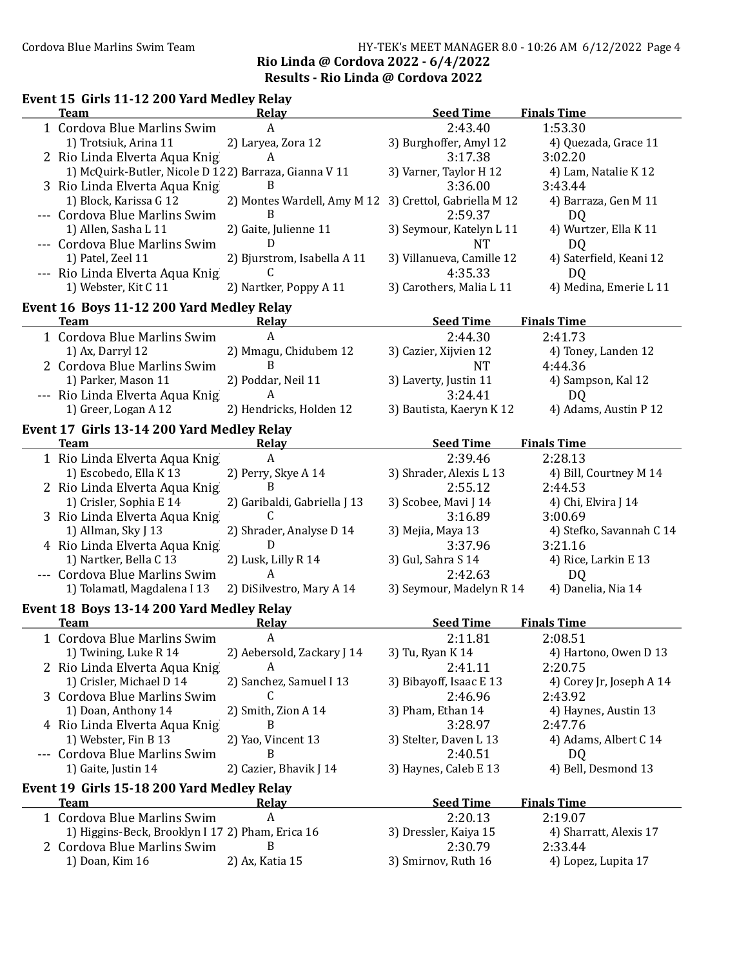## Cordova Blue Marlins Swim Team Team HY-TEK's MEET MANAGER 8.0 - 10:26 AM 6/12/2022 Page 4 Rio Linda @ Cordova 2022 - 6/4/2022 Results - Rio Linda @ Cordova 2022

| Event 15 Girls 11-12 200 Yard Medley Relay            |                              |                            |                          |
|-------------------------------------------------------|------------------------------|----------------------------|--------------------------|
| <b>Team</b>                                           | Relay                        | <b>Seed Time</b>           | <b>Finals Time</b>       |
| 1 Cordova Blue Marlins Swim                           | A                            | 2:43.40                    | 1:53.30                  |
| 1) Trotsiuk, Arina 11                                 | 2) Laryea, Zora 12           | 3) Burghoffer, Amyl 12     | 4) Quezada, Grace 11     |
| 2 Rio Linda Elverta Aqua Knig                         | A                            | 3:17.38                    | 3:02.20                  |
| 1) McQuirk-Butler, Nicole D 122) Barraza, Gianna V 11 |                              | 3) Varner, Taylor H 12     | 4) Lam, Natalie K 12     |
| 3 Rio Linda Elverta Aqua Knig                         | B                            | 3:36.00                    | 3:43.44                  |
| 1) Block, Karissa G 12                                | 2) Montes Wardell, Amy M 12  | 3) Crettol, Gabriella M 12 | 4) Barraza, Gen M 11     |
| --- Cordova Blue Marlins Swim                         | B                            | 2:59.37                    | DQ                       |
| 1) Allen, Sasha L 11                                  | 2) Gaite, Julienne 11        | 3) Seymour, Katelyn L 11   | 4) Wurtzer, Ella K 11    |
| --- Cordova Blue Marlins Swim                         | D                            | <b>NT</b>                  | DQ                       |
| 1) Patel, Zeel 11                                     | 2) Bjurstrom, Isabella A 11  | 3) Villanueva, Camille 12  | 4) Saterfield, Keani 12  |
| --- Rio Linda Elverta Aqua Knig                       | C.                           | 4:35.33                    | D <sub>Q</sub>           |
| 1) Webster, Kit C 11                                  | 2) Nartker, Poppy A 11       | 3) Carothers, Malia L 11   | 4) Medina, Emerie L 11   |
| Event 16 Boys 11-12 200 Yard Medley Relay             |                              |                            |                          |
| <b>Team</b>                                           | <b>Relay</b>                 | Seed Time                  | <b>Finals Time</b>       |
| 1 Cordova Blue Marlins Swim                           | $\mathsf{A}$                 | 2:44.30                    | 2:41.73                  |
| 1) Ax, Darryl 12                                      | 2) Mmagu, Chidubem 12        | 3) Cazier, Xijvien 12      | 4) Toney, Landen 12      |
| 2 Cordova Blue Marlins Swim                           | B                            | NT                         | 4:44.36                  |
| 1) Parker, Mason 11                                   | 2) Poddar, Neil 11           | 3) Laverty, Justin 11      | 4) Sampson, Kal 12       |
| --- Rio Linda Elverta Aqua Knig                       | A                            | 3:24.41                    | D <sub>Q</sub>           |
| 1) Greer, Logan A 12                                  | 2) Hendricks, Holden 12      | 3) Bautista, Kaeryn K 12   | 4) Adams, Austin P 12    |
| Event 17 Girls 13-14 200 Yard Medley Relay            |                              |                            |                          |
| <b>Team</b>                                           | <b>Relay</b>                 | <b>Seed Time</b>           | <b>Finals Time</b>       |
| 1 Rio Linda Elverta Aqua Knig                         | A                            | 2:39.46                    | 2:28.13                  |
| 1) Escobedo, Ella K 13                                | 2) Perry, Skye A 14          | 3) Shrader, Alexis L 13    | 4) Bill, Courtney M 14   |
| 2 Rio Linda Elverta Aqua Knig                         | <sub>B</sub>                 | 2:55.12                    | 2:44.53                  |
| 1) Crisler, Sophia E 14                               | 2) Garibaldi, Gabriella J 13 | 3) Scobee, Mavi J 14       | 4) Chi, Elvira J 14      |
| 3 Rio Linda Elverta Aqua Knig                         | C                            | 3:16.89                    | 3:00.69                  |
| 1) Allman, Sky J 13                                   | 2) Shrader, Analyse D 14     | 3) Mejia, Maya 13          | 4) Stefko, Savannah C 14 |
| 4 Rio Linda Elverta Aqua Knig                         | D                            | 3:37.96                    | 3:21.16                  |
| 1) Nartker, Bella C 13                                | 2) Lusk, Lilly R 14          | 3) Gul, Sahra S 14         | 4) Rice, Larkin E 13     |
| --- Cordova Blue Marlins Swim                         | A                            | 2:42.63                    | D <sub>Q</sub>           |
| 1) Tolamatl, Magdalena I 13                           | 2) DiSilvestro, Mary A 14    | 3) Seymour, Madelyn R 14   | 4) Danelia, Nia 14       |
| Event 18 Boys 13-14 200 Yard Medley Relay             |                              |                            |                          |
| <b>Team</b>                                           | Relay                        | <b>Seed Time</b>           | <b>Finals Time</b>       |
| 1 Cordova Blue Marlins Swim                           |                              | 2:11.81                    | 2:08.51                  |
| 1) Twining, Luke R 14                                 | 2) Aebersold, Zackary J 14   | 3) Tu, Ryan K 14           | 4) Hartono, Owen D 13    |
| 2 Rio Linda Elverta Aqua Knig                         | A                            | 2:41.11                    | 2:20.75                  |
| 1) Crisler, Michael D 14                              | 2) Sanchez, Samuel I 13      | 3) Bibayoff, Isaac E 13    | 4) Corey Jr, Joseph A 14 |
| 3 Cordova Blue Marlins Swim                           | C                            | 2:46.96                    | 2:43.92                  |
| 1) Doan, Anthony 14                                   | 2) Smith, Zion A 14          | 3) Pham, Ethan 14          | 4) Haynes, Austin 13     |
| 4 Rio Linda Elverta Aqua Knig                         | B                            | 3:28.97                    | 2:47.76                  |
| 1) Webster, Fin B 13                                  | 2) Yao, Vincent 13           | 3) Stelter, Daven L 13     | 4) Adams, Albert C 14    |
| --- Cordova Blue Marlins Swim                         | B                            | 2:40.51                    | DQ                       |
| 1) Gaite, Justin 14                                   | 2) Cazier, Bhavik J 14       | 3) Haynes, Caleb E 13      | 4) Bell, Desmond 13      |
| Event 19 Girls 15-18 200 Yard Medley Relay            |                              |                            |                          |
| <b>Team</b>                                           | <b>Relay</b>                 | <b>Seed Time</b>           | <b>Finals Time</b>       |
| 1 Cordova Blue Marlins Swim                           | $\boldsymbol{A}$             | 2:20.13                    | 2:19.07                  |
| 1) Higgins-Beck, Brooklyn I 17 2) Pham, Erica 16      |                              | 3) Dressler, Kaiya 15      | 4) Sharratt, Alexis 17   |
| 2 Cordova Blue Marlins Swim                           | B                            | 2:30.79                    | 2:33.44                  |
| 1) Doan, Kim 16                                       | 2) Ax, Katia 15              | 3) Smirnov, Ruth 16        | 4) Lopez, Lupita 17      |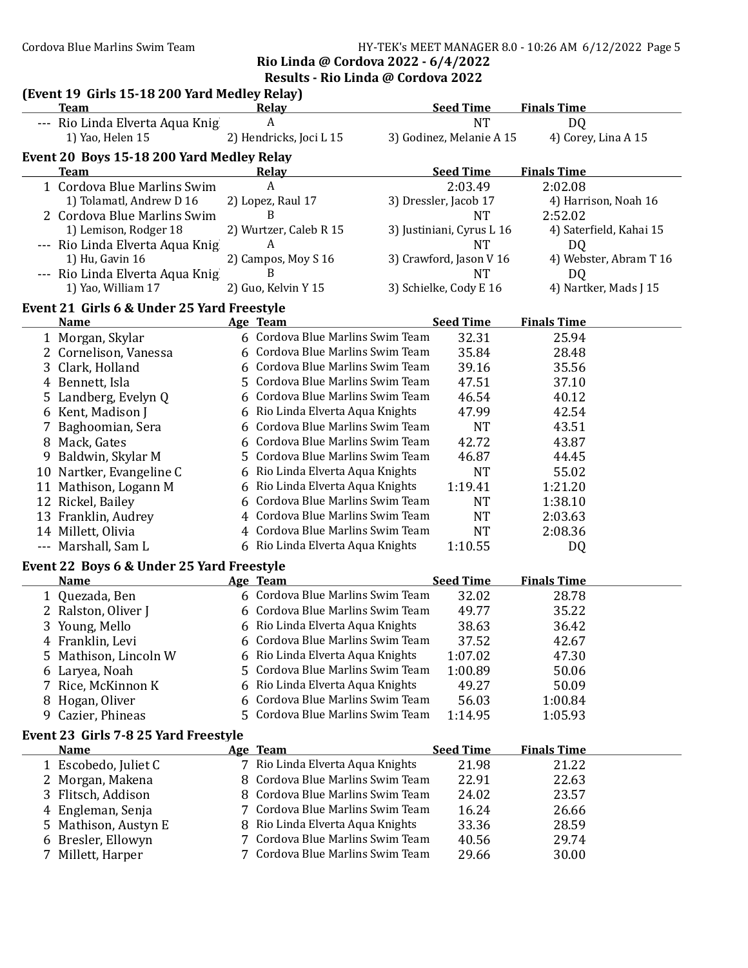### Cordova Blue Marlins Swim Team Team HY-TEK's MEET MANAGER 8.0 - 10:26 AM 6/12/2022 Page 5 Rio Linda @ Cordova 2022 - 6/4/2022

Results - Rio Linda @ Cordova 2022

|        | (Event 19 Girls 15-18 200 Yard Medley Relay)<br><b>Team</b> |    | <b>Relay</b>                                                         | <b>Seed Time</b>          | <b>Finals Time</b>      |
|--------|-------------------------------------------------------------|----|----------------------------------------------------------------------|---------------------------|-------------------------|
|        | --- Rio Linda Elverta Aqua Knig                             |    | A                                                                    | <b>NT</b>                 | DQ                      |
|        | 1) Yao, Helen 15                                            |    | 2) Hendricks, Joci L 15                                              | 3) Godinez, Melanie A 15  | 4) Corey, Lina A 15     |
|        | Event 20 Boys 15-18 200 Yard Medley Relay                   |    |                                                                      |                           |                         |
|        | <b>Team</b>                                                 |    | Relay                                                                | <b>Seed Time</b>          | <b>Finals Time</b>      |
|        | 1 Cordova Blue Marlins Swim                                 |    | A                                                                    | 2:03.49                   | 2:02.08                 |
|        | 1) Tolamatl, Andrew D 16                                    |    | 2) Lopez, Raul 17                                                    | 3) Dressler, Jacob 17     | 4) Harrison, Noah 16    |
|        | 2 Cordova Blue Marlins Swim                                 |    | B                                                                    | NT                        | 2:52.02                 |
|        | 1) Lemison, Rodger 18                                       |    | 2) Wurtzer, Caleb R 15                                               | 3) Justiniani, Cyrus L 16 | 4) Saterfield, Kahai 15 |
|        | --- Rio Linda Elverta Aqua Knig                             |    | A                                                                    | NT                        | DQ                      |
|        | 1) Hu, Gavin 16                                             |    | 2) Campos, Moy S 16                                                  | 3) Crawford, Jason V 16   | 4) Webster, Abram T 16  |
|        | --- Rio Linda Elverta Aqua Knig                             |    | B                                                                    | NT                        | D <sub>Q</sub>          |
|        | 1) Yao, William 17                                          |    | 2) Guo, Kelvin Y 15                                                  | 3) Schielke, Cody E 16    | 4) Nartker, Mads J 15   |
|        |                                                             |    |                                                                      |                           |                         |
|        | Event 21 Girls 6 & Under 25 Yard Freestyle<br><b>Name</b>   |    | Age Team                                                             | <b>Seed Time</b>          | <b>Finals Time</b>      |
|        | 1 Morgan, Skylar                                            |    | 6 Cordova Blue Marlins Swim Team                                     | 32.31                     | 25.94                   |
|        | 2 Cornelison, Vanessa                                       |    | 6 Cordova Blue Marlins Swim Team                                     | 35.84                     | 28.48                   |
|        | 3 Clark, Holland                                            |    | Cordova Blue Marlins Swim Team                                       | 39.16                     | 35.56                   |
|        | 4 Bennett, Isla                                             | 5. | Cordova Blue Marlins Swim Team                                       | 47.51                     | 37.10                   |
|        |                                                             |    | Cordova Blue Marlins Swim Team                                       |                           |                         |
|        | 5 Landberg, Evelyn Q                                        |    |                                                                      | 46.54                     | 40.12                   |
|        | 6 Kent, Madison J                                           |    | Rio Linda Elverta Aqua Knights<br>Cordova Blue Marlins Swim Team     | 47.99                     | 42.54                   |
|        | Baghoomian, Sera                                            |    |                                                                      | <b>NT</b>                 | 43.51                   |
|        | 8 Mack, Gates                                               |    | Cordova Blue Marlins Swim Team                                       | 42.72                     | 43.87                   |
|        | Baldwin, Skylar M                                           |    | Cordova Blue Marlins Swim Team                                       | 46.87                     | 44.45                   |
|        | 10 Nartker, Evangeline C                                    | 6  | Rio Linda Elverta Aqua Knights                                       | <b>NT</b>                 | 55.02                   |
|        | 11 Mathison, Logann M                                       | 6  | Rio Linda Elverta Aqua Knights                                       | 1:19.41                   | 1:21.20                 |
|        | 12 Rickel, Bailey                                           | 6  | Cordova Blue Marlins Swim Team                                       | <b>NT</b>                 | 1:38.10                 |
|        | 13 Franklin, Audrey                                         |    | Cordova Blue Marlins Swim Team                                       | <b>NT</b>                 | 2:03.63                 |
|        | 14 Millett, Olivia                                          | 4  | Cordova Blue Marlins Swim Team                                       | <b>NT</b>                 | 2:08.36                 |
|        | --- Marshall, Sam L                                         |    | 6 Rio Linda Elverta Aqua Knights                                     | 1:10.55                   | DQ                      |
|        | Event 22 Boys 6 & Under 25 Yard Freestyle                   |    |                                                                      |                           |                         |
|        | <b>Name</b>                                                 |    | <b>Age Team</b>                                                      | <b>Seed Time</b>          | <b>Finals Time</b>      |
|        | 1 Quezada, Ben                                              |    | 6 Cordova Blue Marlins Swim Team                                     | 32.02                     | 28.78                   |
|        | 2 Ralston, Oliver J                                         |    | 6 Cordova Blue Marlins Swim Team                                     | 49.77                     | 35.22                   |
|        | 3 Young, Mello                                              |    | 6 Rio Linda Elverta Aqua Knights                                     | 38.63                     | 36.42                   |
|        | 4 Franklin, Levi                                            | 6  | Cordova Blue Marlins Swim Team                                       | 37.52                     | 42.67                   |
| 5.     | Mathison, Lincoln W                                         | 6  | Rio Linda Elverta Aqua Knights                                       | 1:07.02                   | 47.30                   |
| 6      | Laryea, Noah                                                |    | Cordova Blue Marlins Swim Team                                       | 1:00.89                   | 50.06                   |
| 7      | Rice, McKinnon K                                            | 6  | Rio Linda Elverta Aqua Knights                                       | 49.27                     | 50.09                   |
| 8      | Hogan, Oliver                                               | 6  | Cordova Blue Marlins Swim Team                                       | 56.03                     | 1:00.84                 |
|        | Cazier, Phineas                                             | 5. | Cordova Blue Marlins Swim Team                                       | 1:14.95                   | 1:05.93                 |
| 9      |                                                             |    |                                                                      |                           |                         |
|        |                                                             |    |                                                                      |                           |                         |
|        | Event 23 Girls 7-8 25 Yard Freestyle                        |    |                                                                      |                           |                         |
|        | <b>Name</b>                                                 |    | Age Team                                                             | <b>Seed Time</b>          | <b>Finals Time</b>      |
|        | 1 Escobedo, Juliet C                                        |    | 7 Rio Linda Elverta Aqua Knights                                     | 21.98                     | 21.22                   |
|        | 2 Morgan, Makena                                            |    | Cordova Blue Marlins Swim Team                                       | 22.91                     | 22.63                   |
|        | 3 Flitsch, Addison                                          | 8  | Cordova Blue Marlins Swim Team                                       | 24.02                     | 23.57                   |
|        | 4 Engleman, Senja                                           |    | 7 Cordova Blue Marlins Swim Team                                     | 16.24                     | 26.66                   |
| 5.     | Mathison, Austyn E                                          | 8  | Rio Linda Elverta Aqua Knights                                       | 33.36                     | 28.59                   |
| 6<br>7 | Bresler, Ellowyn<br>Millett, Harper                         |    | 7 Cordova Blue Marlins Swim Team<br>7 Cordova Blue Marlins Swim Team | 40.56<br>29.66            | 29.74<br>30.00          |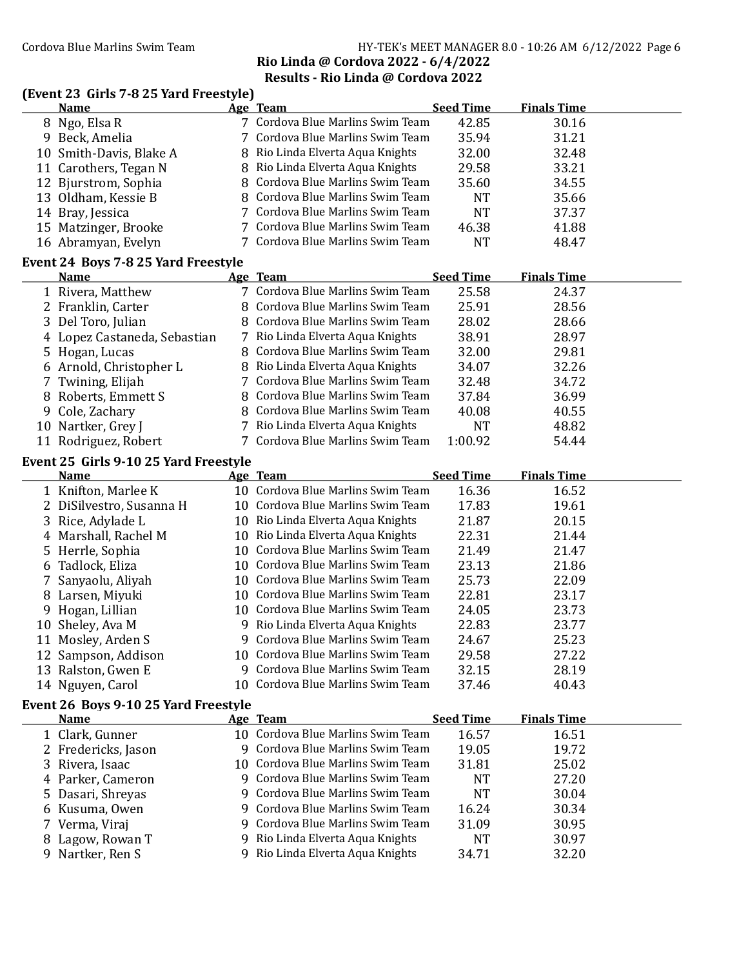## Cordova Blue Marlins Swim Team Team HY-TEK's MEET MANAGER 8.0 - 10:26 AM 6/12/2022 Page 6 Rio Linda @ Cordova 2022 - 6/4/2022 Results - Rio Linda @ Cordova 2022

## (Event 23 Girls 7-8 25 Yard Freestyle)

|    | <b>Name</b>                                        |     | Age Team                          | <b>Seed Time</b> | <b>Finals Time</b> |  |
|----|----------------------------------------------------|-----|-----------------------------------|------------------|--------------------|--|
|    | 8 Ngo, Elsa R                                      |     | 7 Cordova Blue Marlins Swim Team  | 42.85            | 30.16              |  |
|    | 9 Beck, Amelia                                     |     | Cordova Blue Marlins Swim Team    | 35.94            | 31.21              |  |
|    | 10 Smith-Davis, Blake A                            | 8   | Rio Linda Elverta Aqua Knights    | 32.00            | 32.48              |  |
|    | 11 Carothers, Tegan N                              | 8   | Rio Linda Elverta Aqua Knights    | 29.58            | 33.21              |  |
|    | 12 Bjurstrom, Sophia                               | 8   | Cordova Blue Marlins Swim Team    | 35.60            | 34.55              |  |
|    | 13 Oldham, Kessie B                                | 8   | Cordova Blue Marlins Swim Team    | <b>NT</b>        | 35.66              |  |
|    | 14 Bray, Jessica                                   | 7   | Cordova Blue Marlins Swim Team    | <b>NT</b>        | 37.37              |  |
|    | 15 Matzinger, Brooke                               |     | Cordova Blue Marlins Swim Team    | 46.38            | 41.88              |  |
|    | 16 Abramyan, Evelyn                                |     | 7 Cordova Blue Marlins Swim Team  | <b>NT</b>        | 48.47              |  |
|    |                                                    |     |                                   |                  |                    |  |
|    | Event 24 Boys 7-8 25 Yard Freestyle<br><b>Name</b> |     | Age Team                          | <b>Seed Time</b> | <b>Finals Time</b> |  |
|    |                                                    |     | 7 Cordova Blue Marlins Swim Team  |                  |                    |  |
|    | 1 Rivera, Matthew                                  |     | Cordova Blue Marlins Swim Team    | 25.58            | 24.37              |  |
|    | 2 Franklin, Carter                                 | 8   |                                   | 25.91            | 28.56              |  |
|    | 3 Del Toro, Julian                                 | 8   | Cordova Blue Marlins Swim Team    | 28.02            | 28.66              |  |
|    | 4 Lopez Castaneda, Sebastian                       |     | 7 Rio Linda Elverta Aqua Knights  | 38.91            | 28.97              |  |
|    | 5 Hogan, Lucas                                     | 8   | Cordova Blue Marlins Swim Team    | 32.00            | 29.81              |  |
|    | 6 Arnold, Christopher L                            | 8   | Rio Linda Elverta Aqua Knights    | 34.07            | 32.26              |  |
| 7  | Twining, Elijah                                    | 7   | Cordova Blue Marlins Swim Team    | 32.48            | 34.72              |  |
| 8  | Roberts, Emmett S                                  | 8   | Cordova Blue Marlins Swim Team    | 37.84            | 36.99              |  |
| 9  | Cole, Zachary                                      | 8   | Cordova Blue Marlins Swim Team    | 40.08            | 40.55              |  |
|    | 10 Nartker, Grey J                                 |     | Rio Linda Elverta Aqua Knights    | <b>NT</b>        | 48.82              |  |
|    | 11 Rodriguez, Robert                               |     | Cordova Blue Marlins Swim Team    | 1:00.92          | 54.44              |  |
|    | Event 25 Girls 9-10 25 Yard Freestyle              |     |                                   |                  |                    |  |
|    | <b>Name</b>                                        |     | Age Team                          | <b>Seed Time</b> | <b>Finals Time</b> |  |
|    | 1 Knifton, Marlee K                                |     | 10 Cordova Blue Marlins Swim Team | 16.36            | 16.52              |  |
|    | 2 DiSilvestro, Susanna H                           | 10  | Cordova Blue Marlins Swim Team    | 17.83            | 19.61              |  |
| 3  | Rice, Adylade L                                    |     | 10 Rio Linda Elverta Aqua Knights | 21.87            | 20.15              |  |
|    | 4 Marshall, Rachel M                               |     | 10 Rio Linda Elverta Aqua Knights | 22.31            | 21.44              |  |
| 5  | Herrle, Sophia                                     | 10  | Cordova Blue Marlins Swim Team    | 21.49            | 21.47              |  |
| 6  | Tadlock, Eliza                                     | 10  | Cordova Blue Marlins Swim Team    | 23.13            | 21.86              |  |
| 7  | Sanyaolu, Aliyah                                   |     | 10 Cordova Blue Marlins Swim Team | 25.73            | 22.09              |  |
|    | 8 Larsen, Miyuki                                   |     | 10 Cordova Blue Marlins Swim Team | 22.81            | 23.17              |  |
|    | 9 Hogan, Lillian                                   |     | 10 Cordova Blue Marlins Swim Team | 24.05            | 23.73              |  |
|    | 10 Sheley, Ava M                                   |     | 9 Rio Linda Elverta Aqua Knights  | 22.83            | 23.77              |  |
|    | 11 Mosley, Arden S                                 |     | 9 Cordova Blue Marlins Swim Team  | 24.67            | 25.23              |  |
|    | 12 Sampson, Addison                                |     | 10 Cordova Blue Marlins Swim Team | 29.58            | 27.22              |  |
|    | 13 Ralston, Gwen E                                 |     | 9 Cordova Blue Marlins Swim Team  | 32.15            | 28.19              |  |
|    | 14 Nguyen, Carol                                   | 10. | Cordova Blue Marlins Swim Team    | 37.46            | 40.43              |  |
|    | Event 26 Boys 9-10 25 Yard Freestyle               |     |                                   |                  |                    |  |
|    | <b>Name</b>                                        |     | Age Team                          | <b>Seed Time</b> | <b>Finals Time</b> |  |
|    | 1 Clark, Gunner                                    |     | 10 Cordova Blue Marlins Swim Team | 16.57            | 16.51              |  |
|    | 2 Fredericks, Jason                                |     | 9 Cordova Blue Marlins Swim Team  | 19.05            | 19.72              |  |
|    | 3 Rivera, Isaac                                    | 10. | Cordova Blue Marlins Swim Team    | 31.81            | 25.02              |  |
|    | 4 Parker, Cameron                                  |     | 9 Cordova Blue Marlins Swim Team  | <b>NT</b>        | 27.20              |  |
| 5. | Dasari, Shreyas                                    | 9   | Cordova Blue Marlins Swim Team    | <b>NT</b>        | 30.04              |  |
|    | 6 Kusuma, Owen                                     | 9   | Cordova Blue Marlins Swim Team    | 16.24            | 30.34              |  |
|    | 7 Verma, Viraj                                     | 9   | Cordova Blue Marlins Swim Team    | 31.09            | 30.95              |  |
| 8  | Lagow, Rowan T                                     | 9   | Rio Linda Elverta Aqua Knights    | NT               | 30.97              |  |
|    |                                                    |     | 9 Rio Linda Elverta Aqua Knights  |                  |                    |  |
|    | 9 Nartker, Ren S                                   |     |                                   | 34.71            | 32.20              |  |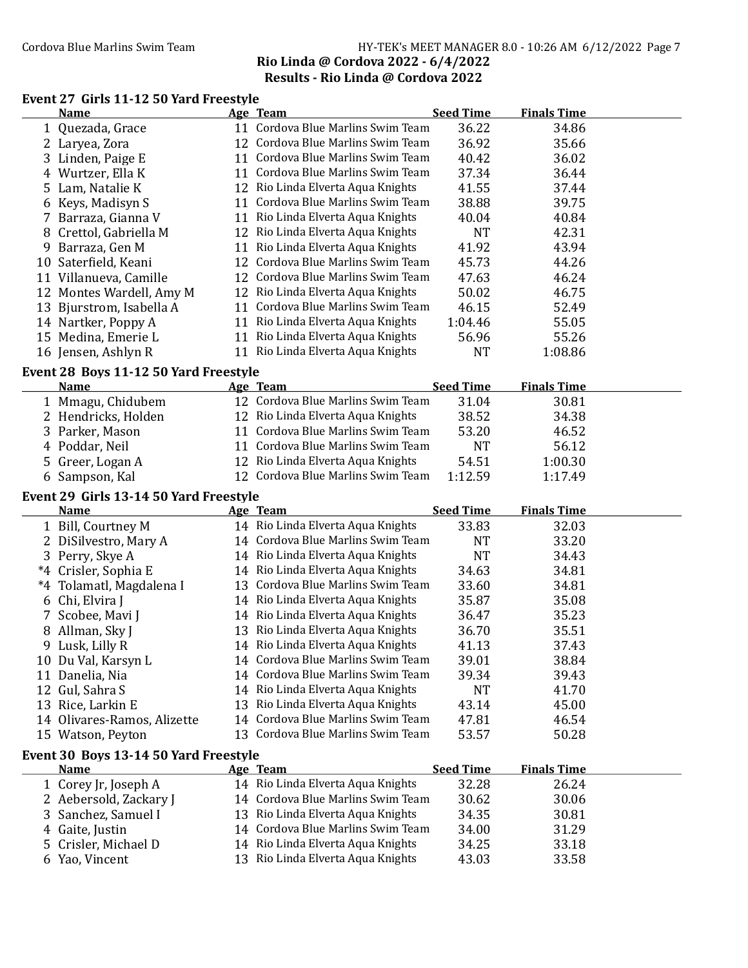## Cordova Blue Marlins Swim Team HY-TEK's MEET MANAGER 8.0 - 10:26 AM 6/12/2022 Page 7 Rio Linda @ Cordova 2022 - 6/4/2022 Results - Rio Linda @ Cordova 2022

#### Event 27 Girls 11-12 50 Yard Freestyle Name Age Team Seed Time Finals Time

|    | 1 Quezada, Grace                       | 11 Cordova Blue Marlins Swim Team                                      | 36.22            | 34.86              |  |
|----|----------------------------------------|------------------------------------------------------------------------|------------------|--------------------|--|
|    | 2 Laryea, Zora                         | 12 Cordova Blue Marlins Swim Team                                      | 36.92            | 35.66              |  |
|    | 3 Linden, Paige E                      | 11 Cordova Blue Marlins Swim Team                                      | 40.42            | 36.02              |  |
|    | 4 Wurtzer, Ella K                      | 11 Cordova Blue Marlins Swim Team                                      | 37.34            | 36.44              |  |
| 5. | Lam, Natalie K                         | 12 Rio Linda Elverta Aqua Knights                                      | 41.55            | 37.44              |  |
|    | 6 Keys, Madisyn S                      | 11 Cordova Blue Marlins Swim Team                                      | 38.88            | 39.75              |  |
|    | 7 Barraza, Gianna V                    | 11 Rio Linda Elverta Aqua Knights                                      | 40.04            | 40.84              |  |
| 8  | Crettol, Gabriella M                   | 12 Rio Linda Elverta Aqua Knights                                      | <b>NT</b>        | 42.31              |  |
| 9  | Barraza, Gen M                         | 11 Rio Linda Elverta Aqua Knights                                      | 41.92            | 43.94              |  |
|    | 10 Saterfield, Keani                   | 12 Cordova Blue Marlins Swim Team                                      | 45.73            | 44.26              |  |
|    | 11 Villanueva, Camille                 | 12 Cordova Blue Marlins Swim Team                                      | 47.63            | 46.24              |  |
|    | 12 Montes Wardell, Amy M               | 12 Rio Linda Elverta Aqua Knights                                      | 50.02            | 46.75              |  |
|    | 13 Bjurstrom, Isabella A               | 11 Cordova Blue Marlins Swim Team                                      | 46.15            | 52.49              |  |
|    | 14 Nartker, Poppy A                    | 11 Rio Linda Elverta Aqua Knights                                      | 1:04.46          | 55.05              |  |
|    | 15 Medina, Emerie L                    | 11 Rio Linda Elverta Aqua Knights                                      | 56.96            | 55.26              |  |
|    | 16 Jensen, Ashlyn R                    | 11 Rio Linda Elverta Aqua Knights                                      | <b>NT</b>        | 1:08.86            |  |
|    |                                        |                                                                        |                  |                    |  |
|    | Event 28 Boys 11-12 50 Yard Freestyle  |                                                                        |                  |                    |  |
|    | <b>Name</b>                            | Age Team                                                               | <b>Seed Time</b> | <b>Finals Time</b> |  |
|    | 1 Mmagu, Chidubem                      | 12 Cordova Blue Marlins Swim Team                                      | 31.04            | 30.81              |  |
|    | 2 Hendricks, Holden                    | 12 Rio Linda Elverta Aqua Knights                                      | 38.52            | 34.38              |  |
|    | 3 Parker, Mason                        | 11 Cordova Blue Marlins Swim Team                                      | 53.20            | 46.52              |  |
|    | 4 Poddar, Neil                         | 11 Cordova Blue Marlins Swim Team                                      | <b>NT</b>        | 56.12              |  |
|    | 5 Greer, Logan A                       | 12 Rio Linda Elverta Aqua Knights                                      | 54.51            | 1:00.30            |  |
|    | 6 Sampson, Kal                         | 12 Cordova Blue Marlins Swim Team                                      | 1:12.59          | 1:17.49            |  |
|    | Event 29 Girls 13-14 50 Yard Freestyle |                                                                        |                  |                    |  |
|    |                                        |                                                                        |                  |                    |  |
|    | <b>Name</b>                            | Age Team                                                               | <b>Seed Time</b> | <b>Finals Time</b> |  |
|    | 1 Bill, Courtney M                     | 14 Rio Linda Elverta Aqua Knights                                      | 33.83            | 32.03              |  |
|    | 2 DiSilvestro, Mary A                  | 14 Cordova Blue Marlins Swim Team                                      | <b>NT</b>        | 33.20              |  |
|    | 3 Perry, Skye A                        | 14 Rio Linda Elverta Aqua Knights                                      | <b>NT</b>        | 34.43              |  |
|    | *4 Crisler, Sophia E                   | 14 Rio Linda Elverta Aqua Knights                                      | 34.63            | 34.81              |  |
|    | *4 Tolamatl, Magdalena I               | 13 Cordova Blue Marlins Swim Team                                      | 33.60            | 34.81              |  |
|    | 6 Chi, Elvira J                        | 14 Rio Linda Elverta Aqua Knights                                      | 35.87            | 35.08              |  |
|    | 7 Scobee, Mavi J                       | 14 Rio Linda Elverta Aqua Knights                                      | 36.47            | 35.23              |  |
|    | 8 Allman, Sky J                        | 13 Rio Linda Elverta Aqua Knights                                      | 36.70            | 35.51              |  |
|    | 9 Lusk, Lilly R                        | 14 Rio Linda Elverta Aqua Knights                                      | 41.13            | 37.43              |  |
|    | 10 Du Val, Karsyn L                    | 14 Cordova Blue Marlins Swim Team                                      | 39.01            | 38.84              |  |
|    | 11 Danelia, Nia                        | 14 Cordova Blue Marlins Swim Team                                      | 39.34            | 39.43              |  |
|    | 12 Gul, Sahra S                        | 14 Rio Linda Elverta Aqua Knights                                      | <b>NT</b>        | 41.70              |  |
|    | 13 Rice, Larkin E                      | 13 Rio Linda Elverta Aqua Knights                                      | 43.14            | 45.00              |  |
|    | 14 Olivares-Ramos, Alizette            | 14 Cordova Blue Marlins Swim Team                                      | 47.81            | 46.54              |  |
|    | 15 Watson, Peyton                      | 13 Cordova Blue Marlins Swim Team                                      | 53.57            | 50.28              |  |
|    |                                        |                                                                        |                  |                    |  |
|    | Event 30 Boys 13-14 50 Yard Freestyle  |                                                                        |                  |                    |  |
|    | <b>Name</b>                            | Age Team                                                               | <b>Seed Time</b> | <b>Finals Time</b> |  |
|    | 1 Corey Jr, Joseph A                   | 14 Rio Linda Elverta Aqua Knights                                      | 32.28            | 26.24              |  |
|    | 2 Aebersold, Zackary J                 | 14 Cordova Blue Marlins Swim Team                                      | 30.62            | 30.06              |  |
|    | 3 Sanchez, Samuel I                    | 13 Rio Linda Elverta Aqua Knights                                      | 34.35            | 30.81              |  |
|    | 4 Gaite, Justin                        | 14 Cordova Blue Marlins Swim Team                                      | 34.00            | 31.29              |  |
|    | 5 Crisler, Michael D<br>6 Yao, Vincent | 14 Rio Linda Elverta Aqua Knights<br>13 Rio Linda Elverta Aqua Knights | 34.25<br>43.03   | 33.18<br>33.58     |  |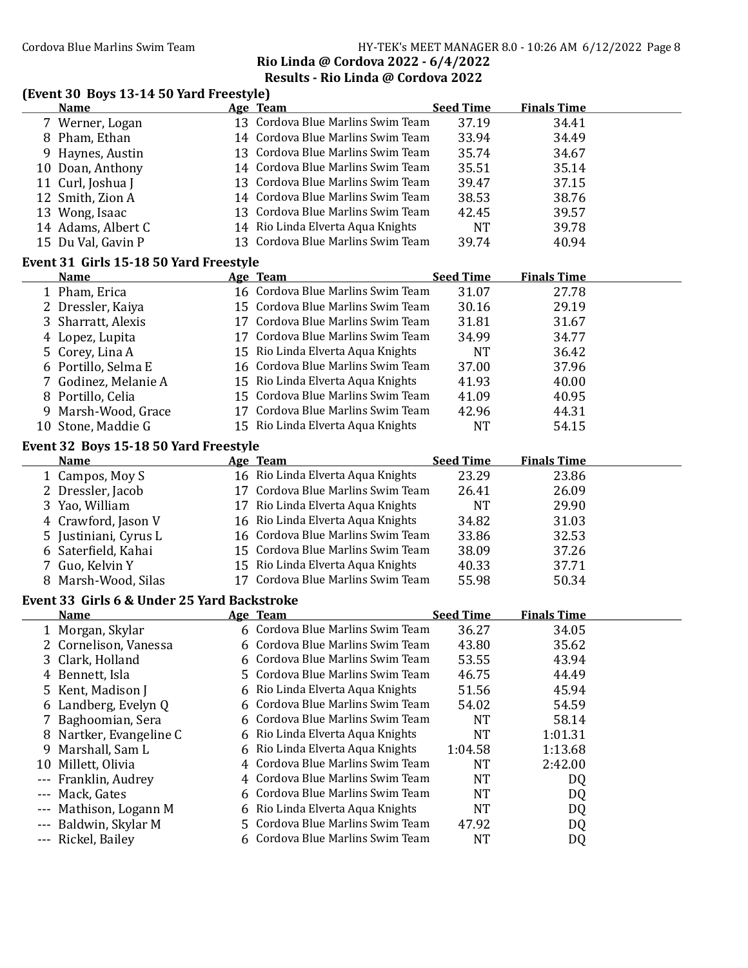## Results - Rio Linda @ Cordova 2022

## (Event 30 Boys 13-14 50 Yard Freestyle)

|       | <b>Name</b>                                 |    | Age Team                          | <b>Seed Time</b>   | <b>Finals Time</b> |  |
|-------|---------------------------------------------|----|-----------------------------------|--------------------|--------------------|--|
|       | 7 Werner, Logan                             |    | 13 Cordova Blue Marlins Swim Team | 37.19              | 34.41              |  |
|       | 8 Pham, Ethan                               |    | 14 Cordova Blue Marlins Swim Team | 33.94              | 34.49              |  |
|       | 9 Haynes, Austin                            |    | 13 Cordova Blue Marlins Swim Team | 35.74              | 34.67              |  |
|       | 10 Doan, Anthony                            |    | 14 Cordova Blue Marlins Swim Team | 35.51              | 35.14              |  |
|       | 11 Curl, Joshua J                           |    | 13 Cordova Blue Marlins Swim Team | 39.47              | 37.15              |  |
|       | 12 Smith, Zion A                            |    | 14 Cordova Blue Marlins Swim Team | 38.53              | 38.76              |  |
|       | 13 Wong, Isaac                              |    | 13 Cordova Blue Marlins Swim Team | 42.45              | 39.57              |  |
|       | 14 Adams, Albert C                          |    | 14 Rio Linda Elverta Aqua Knights | <b>NT</b>          | 39.78              |  |
|       | 15 Du Val, Gavin P                          |    | 13 Cordova Blue Marlins Swim Team | 39.74              | 40.94              |  |
|       | Event 31 Girls 15-18 50 Yard Freestyle      |    |                                   |                    |                    |  |
|       | <b>Name</b>                                 |    | Age Team                          | <b>Seed Time</b>   | <b>Finals Time</b> |  |
|       | 1 Pham, Erica                               |    | 16 Cordova Blue Marlins Swim Team | 31.07              | 27.78              |  |
|       | 2 Dressler, Kaiya                           |    | 15 Cordova Blue Marlins Swim Team | 30.16              | 29.19              |  |
|       | 3 Sharratt, Alexis                          |    | 17 Cordova Blue Marlins Swim Team | 31.81              | 31.67              |  |
|       | 4 Lopez, Lupita                             |    | 17 Cordova Blue Marlins Swim Team | 34.99              | 34.77              |  |
| 5.    | Corey, Lina A                               |    | 15 Rio Linda Elverta Aqua Knights | <b>NT</b>          | 36.42              |  |
|       | 6 Portillo, Selma E                         |    | 16 Cordova Blue Marlins Swim Team | 37.00              | 37.96              |  |
| 7     | Godinez, Melanie A                          |    | 15 Rio Linda Elverta Aqua Knights | 41.93              | 40.00              |  |
|       | 8 Portillo, Celia                           |    | 15 Cordova Blue Marlins Swim Team | 41.09              | 40.95              |  |
|       | Marsh-Wood, Grace                           |    | 17 Cordova Blue Marlins Swim Team | 42.96              | 44.31              |  |
| 9     | 10 Stone, Maddie G                          |    | 15 Rio Linda Elverta Aqua Knights | <b>NT</b>          | 54.15              |  |
|       |                                             |    |                                   |                    |                    |  |
|       | Event 32 Boys 15-18 50 Yard Freestyle       |    |                                   |                    |                    |  |
|       | <b>Name</b>                                 |    | Age Team                          | <b>Seed Time</b>   | <b>Finals Time</b> |  |
|       | 1 Campos, Moy S                             |    | 16 Rio Linda Elverta Aqua Knights | 23.29              | 23.86              |  |
|       | 2 Dressler, Jacob                           |    | 17 Cordova Blue Marlins Swim Team | 26.41              | 26.09              |  |
| 3     | Yao, William                                |    | 17 Rio Linda Elverta Aqua Knights | <b>NT</b>          | 29.90              |  |
| 4     | Crawford, Jason V                           |    | 16 Rio Linda Elverta Aqua Knights | 34.82              | 31.03              |  |
| 5     | Justiniani, Cyrus L                         |    | 16 Cordova Blue Marlins Swim Team | 33.86              | 32.53              |  |
| 6     | Saterfield, Kahai                           |    | 15 Cordova Blue Marlins Swim Team | 38.09              | 37.26              |  |
|       | Guo, Kelvin Y                               |    | 15 Rio Linda Elverta Aqua Knights | 40.33              | 37.71              |  |
|       | 8 Marsh-Wood, Silas                         |    | 17 Cordova Blue Marlins Swim Team | 55.98              | 50.34              |  |
|       | Event 33 Girls 6 & Under 25 Yard Backstroke |    |                                   |                    |                    |  |
|       | <b>Name</b>                                 |    | Age Team                          | <b>Seed Time</b>   | <b>Finals Time</b> |  |
|       | 1 Morgan, Skylar                            |    | 6 Cordova Blue Marlins Swim Team  | 36.27              | 34.05              |  |
|       | 2 Cornelison, Vanessa                       |    | 6 Cordova Blue Marlins Swim Team  | 43.80              | 35.62              |  |
| 3     | Clark, Holland                              |    | Cordova Blue Marlins Swim Team    | 53.55              | 43.94              |  |
|       | 4 Bennett, Isla                             | 5  | Cordova Blue Marlins Swim Team    | 46.75              | 44.49              |  |
| 5     | Kent, Madison J                             | 6  | Rio Linda Elverta Aqua Knights    | 51.56              | 45.94              |  |
|       | 6 Landberg, Evelyn Q                        | 6  | Cordova Blue Marlins Swim Team    | 54.02              | 54.59              |  |
| 7     | Baghoomian, Sera                            | 6  | Cordova Blue Marlins Swim Team    | <b>NT</b>          | 58.14              |  |
| 8     | Nartker, Evangeline C                       |    | Rio Linda Elverta Aqua Knights    | <b>NT</b>          | 1:01.31            |  |
| 9     | Marshall, Sam L                             | 6  | Rio Linda Elverta Aqua Knights    | 1:04.58            | 1:13.68            |  |
| 10    | Millett, Olivia                             | 4  | Cordova Blue Marlins Swim Team    | <b>NT</b>          | 2:42.00            |  |
| ---   | Franklin, Audrey                            | 4  | Cordova Blue Marlins Swim Team    | <b>NT</b>          | DQ                 |  |
| ---   | Mack, Gates                                 |    | Cordova Blue Marlins Swim Team    | <b>NT</b>          | DQ                 |  |
| ---   | Mathison, Logann M                          | 6  | Rio Linda Elverta Aqua Knights    | <b>NT</b>          | DQ                 |  |
|       |                                             |    |                                   |                    |                    |  |
| $---$ |                                             | 5. | Cordova Blue Marlins Swim Team    |                    |                    |  |
| ---   | Baldwin, Skylar M<br>Rickel, Bailey         |    | 6 Cordova Blue Marlins Swim Team  | 47.92<br><b>NT</b> | DQ<br>DQ           |  |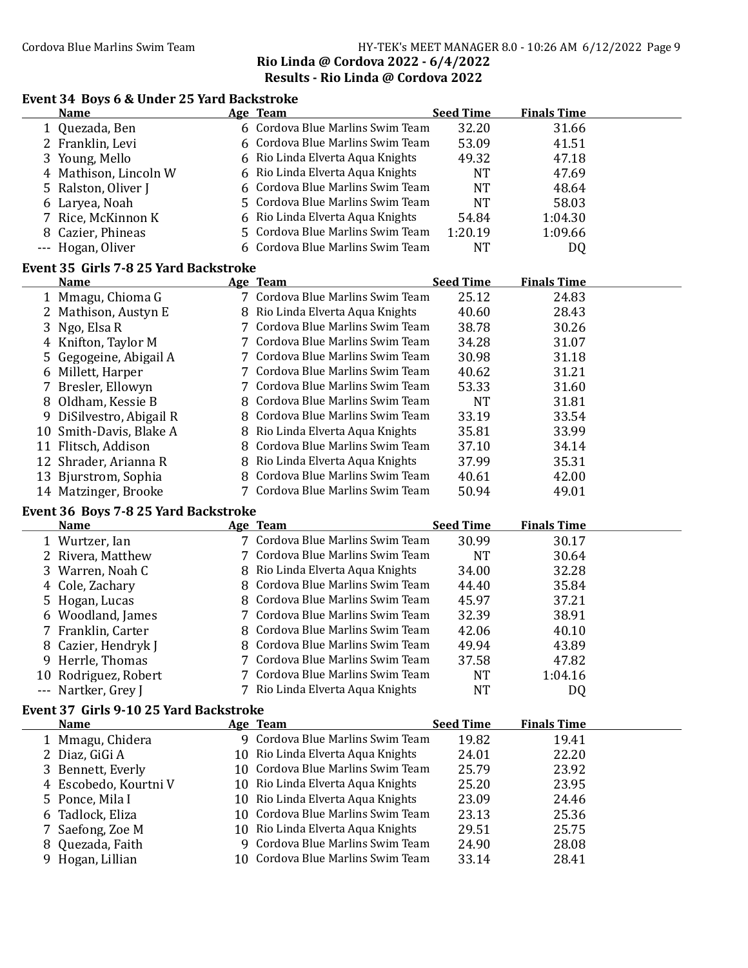## Cordova Blue Marlins Swim Team Team HY-TEK's MEET MANAGER 8.0 - 10:26 AM 6/12/2022 Page 9 Rio Linda @ Cordova 2022 - 6/4/2022 Results - Rio Linda @ Cordova 2022

## Event 34 Boys 6 & Under 25 Yard Backstroke

| <b>Name</b>           | Age Team                         | <b>Seed Time</b> | <b>Finals Time</b> |  |
|-----------------------|----------------------------------|------------------|--------------------|--|
| 1 Quezada, Ben        | 6 Cordova Blue Marlins Swim Team | 32.20            | 31.66              |  |
| 2 Franklin, Levi      | 6 Cordova Blue Marlins Swim Team | 53.09            | 41.51              |  |
| 3 Young, Mello        | 6 Rio Linda Elverta Aqua Knights | 49.32            | 47.18              |  |
| 4 Mathison, Lincoln W | 6 Rio Linda Elverta Aqua Knights | NT               | 47.69              |  |
| 5 Ralston, Oliver J   | 6 Cordova Blue Marlins Swim Team | <b>NT</b>        | 48.64              |  |
| 6 Laryea, Noah        | 5 Cordova Blue Marlins Swim Team | NT               | 58.03              |  |
| 7 Rice, McKinnon K    | 6 Rio Linda Elverta Aqua Knights | 54.84            | 1:04.30            |  |
| 8 Cazier, Phineas     | 5 Cordova Blue Marlins Swim Team | 1:20.19          | 1:09.66            |  |
| --- Hogan, Oliver     | 6 Cordova Blue Marlins Swim Team | NT               | DQ                 |  |

#### Event 35 Girls 7-8 25 Yard Backstroke

|    | <b>Name</b>              | Age Team                         | <b>Seed Time</b> | <b>Finals Time</b> |  |
|----|--------------------------|----------------------------------|------------------|--------------------|--|
|    | 1 Mmagu, Chioma G        | 7 Cordova Blue Marlins Swim Team | 25.12            | 24.83              |  |
|    | 2 Mathison, Austyn E     | 8 Rio Linda Elverta Aqua Knights | 40.60            | 28.43              |  |
|    | 3 Ngo, Elsa R            | 7 Cordova Blue Marlins Swim Team | 38.78            | 30.26              |  |
|    | 4 Knifton, Taylor M      | 7 Cordova Blue Marlins Swim Team | 34.28            | 31.07              |  |
|    | 5 Gegogeine, Abigail A   | 7 Cordova Blue Marlins Swim Team | 30.98            | 31.18              |  |
|    | 6 Millett, Harper        | 7 Cordova Blue Marlins Swim Team | 40.62            | 31.21              |  |
|    | 7 Bresler, Ellowyn       | 7 Cordova Blue Marlins Swim Team | 53.33            | 31.60              |  |
|    | 8 Oldham, Kessie B       | 8 Cordova Blue Marlins Swim Team | NT               | 31.81              |  |
|    | 9 DiSilvestro, Abigail R | 8 Cordova Blue Marlins Swim Team | 33.19            | 33.54              |  |
|    | 10 Smith-Davis, Blake A  | 8 Rio Linda Elverta Aqua Knights | 35.81            | 33.99              |  |
| 11 | Flitsch, Addison         | 8 Cordova Blue Marlins Swim Team | 37.10            | 34.14              |  |
|    | 12 Shrader, Arianna R    | 8 Rio Linda Elverta Aqua Knights | 37.99            | 35.31              |  |
|    | 13 Bjurstrom, Sophia     | 8 Cordova Blue Marlins Swim Team | 40.61            | 42.00              |  |
|    | 14 Matzinger, Brooke     | 7 Cordova Blue Marlins Swim Team | 50.94            | 49.01              |  |

## Event 36 Boys 7-8 25 Yard Backstroke

| <b>Name</b>          | Age Team                         | <b>Seed Time</b> | <b>Finals Time</b> |  |
|----------------------|----------------------------------|------------------|--------------------|--|
| 1 Wurtzer, Ian       | 7 Cordova Blue Marlins Swim Team | 30.99            | 30.17              |  |
| 2 Rivera, Matthew    | 7 Cordova Blue Marlins Swim Team | NT               | 30.64              |  |
| 3 Warren, Noah C     | 8 Rio Linda Elverta Aqua Knights | 34.00            | 32.28              |  |
| 4 Cole, Zachary      | 8 Cordova Blue Marlins Swim Team | 44.40            | 35.84              |  |
| 5 Hogan, Lucas       | 8 Cordova Blue Marlins Swim Team | 45.97            | 37.21              |  |
| 6 Woodland, James    | 7 Cordova Blue Marlins Swim Team | 32.39            | 38.91              |  |
| 7 Franklin, Carter   | 8 Cordova Blue Marlins Swim Team | 42.06            | 40.10              |  |
| 8 Cazier, Hendryk J  | 8 Cordova Blue Marlins Swim Team | 49.94            | 43.89              |  |
| 9 Herrle, Thomas     | 7 Cordova Blue Marlins Swim Team | 37.58            | 47.82              |  |
| 10 Rodriguez, Robert | 7 Cordova Blue Marlins Swim Team | NT               | 1:04.16            |  |
| --- Nartker, Grey J  | 7 Rio Linda Elverta Aqua Knights | NT               | DQ                 |  |

## Event 37 Girls 9-10 25 Yard Backstroke

| <b>Name</b>           | Age Team                          | <b>Seed Time</b> | <b>Finals Time</b> |  |
|-----------------------|-----------------------------------|------------------|--------------------|--|
| 1 Mmagu, Chidera      | 9 Cordova Blue Marlins Swim Team  | 19.82            | 19.41              |  |
| 2 Diaz, GiGi A        | 10 Rio Linda Elverta Aqua Knights | 24.01            | 22.20              |  |
| 3 Bennett, Everly     | 10 Cordova Blue Marlins Swim Team | 25.79            | 23.92              |  |
| 4 Escobedo, Kourtni V | 10 Rio Linda Elverta Aqua Knights | 25.20            | 23.95              |  |
| 5 Ponce, Mila I       | 10 Rio Linda Elverta Aqua Knights | 23.09            | 24.46              |  |
| 6 Tadlock, Eliza      | 10 Cordova Blue Marlins Swim Team | 23.13            | 25.36              |  |
| 7 Saefong, Zoe M      | 10 Rio Linda Elverta Aqua Knights | 29.51            | 25.75              |  |
| 8 Quezada, Faith      | 9 Cordova Blue Marlins Swim Team  | 24.90            | 28.08              |  |
| 9 Hogan, Lillian      | 10 Cordova Blue Marlins Swim Team | 33.14            | 28.41              |  |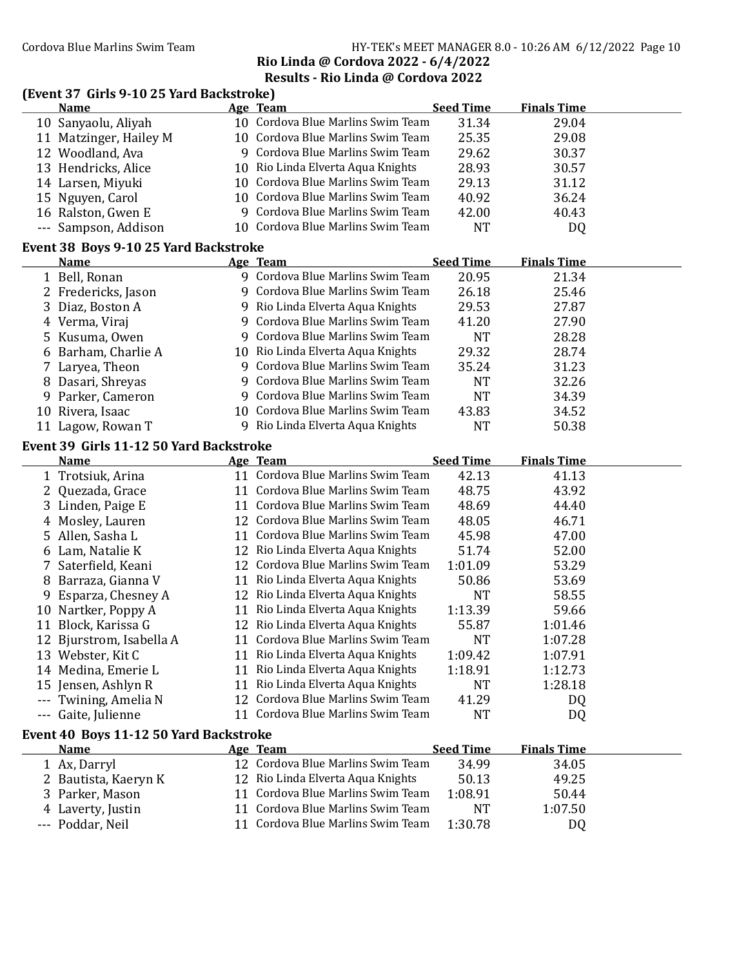## Cordova Blue Marlins Swim Team HY-TEK's MEET MANAGER 8.0 - 10:26 AM 6/12/2022 Page 10 Rio Linda @ Cordova 2022 - 6/4/2022

Results - Rio Linda @ Cordova 2022

# (Event 37 Girls 9-10 25 Yard Backstroke)<br>Name Age Team

|         | <b>Name</b>                             |    | Age Team                          | <b>Seed Time</b> | <b>Finals Time</b> |  |
|---------|-----------------------------------------|----|-----------------------------------|------------------|--------------------|--|
|         | 10 Sanyaolu, Aliyah                     |    | 10 Cordova Blue Marlins Swim Team | 31.34            | 29.04              |  |
|         | 11 Matzinger, Hailey M                  |    | 10 Cordova Blue Marlins Swim Team | 25.35            | 29.08              |  |
|         | 12 Woodland, Ava                        |    | 9 Cordova Blue Marlins Swim Team  | 29.62            | 30.37              |  |
|         | 13 Hendricks, Alice                     |    | 10 Rio Linda Elverta Aqua Knights | 28.93            | 30.57              |  |
|         | 14 Larsen, Miyuki                       |    | 10 Cordova Blue Marlins Swim Team | 29.13            | 31.12              |  |
|         | 15 Nguyen, Carol                        |    | 10 Cordova Blue Marlins Swim Team | 40.92            | 36.24              |  |
|         | 16 Ralston, Gwen E                      |    | 9 Cordova Blue Marlins Swim Team  | 42.00            | 40.43              |  |
| $- - -$ | Sampson, Addison                        |    | 10 Cordova Blue Marlins Swim Team | <b>NT</b>        | DQ                 |  |
|         |                                         |    |                                   |                  |                    |  |
|         | Event 38 Boys 9-10 25 Yard Backstroke   |    |                                   |                  |                    |  |
|         | <b>Name</b>                             |    | Age Team                          | <b>Seed Time</b> | <b>Finals Time</b> |  |
|         | 1 Bell, Ronan                           |    | 9 Cordova Blue Marlins Swim Team  | 20.95            | 21.34              |  |
|         | 2 Fredericks, Jason                     |    | 9 Cordova Blue Marlins Swim Team  | 26.18            | 25.46              |  |
|         | 3 Diaz, Boston A                        |    | 9 Rio Linda Elverta Aqua Knights  | 29.53            | 27.87              |  |
|         | 4 Verma, Viraj                          |    | 9 Cordova Blue Marlins Swim Team  | 41.20            | 27.90              |  |
|         | 5 Kusuma, Owen                          |    | 9 Cordova Blue Marlins Swim Team  | <b>NT</b>        | 28.28              |  |
|         | 6 Barham, Charlie A                     |    | 10 Rio Linda Elverta Aqua Knights | 29.32            | 28.74              |  |
|         | 7 Laryea, Theon                         |    | 9 Cordova Blue Marlins Swim Team  | 35.24            | 31.23              |  |
|         | 8 Dasari, Shreyas                       | 9. | Cordova Blue Marlins Swim Team    | <b>NT</b>        | 32.26              |  |
|         | 9 Parker, Cameron                       |    | 9 Cordova Blue Marlins Swim Team  | <b>NT</b>        | 34.39              |  |
|         | 10 Rivera, Isaac                        |    | 10 Cordova Blue Marlins Swim Team | 43.83            | 34.52              |  |
|         | 11 Lagow, Rowan T                       |    | 9 Rio Linda Elverta Aqua Knights  | <b>NT</b>        | 50.38              |  |
|         | Event 39 Girls 11-12 50 Yard Backstroke |    |                                   |                  |                    |  |
|         | <b>Name</b>                             |    | Age Team                          | <b>Seed Time</b> | <b>Finals Time</b> |  |
|         | 1 Trotsiuk, Arina                       |    | 11 Cordova Blue Marlins Swim Team | 42.13            | 41.13              |  |
|         | 2 Quezada, Grace                        |    | 11 Cordova Blue Marlins Swim Team | 48.75            | 43.92              |  |
|         |                                         |    | 11 Cordova Blue Marlins Swim Team |                  |                    |  |
|         | 3 Linden, Paige E                       |    | 12 Cordova Blue Marlins Swim Team | 48.69            | 44.40              |  |
|         | 4 Mosley, Lauren                        |    | 11 Cordova Blue Marlins Swim Team | 48.05            | 46.71              |  |
| 5.      | Allen, Sasha L                          |    |                                   | 45.98            | 47.00              |  |
|         | 6 Lam, Natalie K                        |    | 12 Rio Linda Elverta Aqua Knights | 51.74            | 52.00              |  |
| 7       | Saterfield, Keani                       |    | 12 Cordova Blue Marlins Swim Team | 1:01.09          | 53.29              |  |
|         | 8 Barraza, Gianna V                     |    | 11 Rio Linda Elverta Aqua Knights | 50.86            | 53.69              |  |
|         | Esparza, Chesney A                      |    | 12 Rio Linda Elverta Aqua Knights | <b>NT</b>        | 58.55              |  |
|         | 10 Nartker, Poppy A                     |    | 11 Rio Linda Elverta Aqua Knights | 1:13.39          | 59.66              |  |
|         | 11 Block, Karissa G                     |    | 12 Rio Linda Elverta Aqua Knights | 55.87            | 1:01.46            |  |
|         | 12 Bjurstrom, Isabella A                |    | 11 Cordova Blue Marlins Swim Team | <b>NT</b>        | 1:07.28            |  |
|         | 13 Webster, Kit C                       |    | 11 Rio Linda Elverta Aqua Knights | 1:09.42          | 1:07.91            |  |
|         | 14 Medina, Emerie L                     |    | 11 Rio Linda Elverta Aqua Knights | 1:18.91          | 1:12.73            |  |
|         | 15 Jensen, Ashlyn R                     | 11 | Rio Linda Elverta Aqua Knights    | <b>NT</b>        | 1:28.18            |  |
|         | --- Twining, Amelia N                   |    | 12 Cordova Blue Marlins Swim Team | 41.29            | DQ                 |  |
|         | --- Gaite, Julienne                     |    | 11 Cordova Blue Marlins Swim Team | <b>NT</b>        | DQ                 |  |
|         | Event 40 Boys 11-12 50 Yard Backstroke  |    |                                   |                  |                    |  |
|         | <b>Name</b>                             |    | Age Team                          | <b>Seed Time</b> | <b>Finals Time</b> |  |
|         | 1 Ax, Darryl                            |    | 12 Cordova Blue Marlins Swim Team | 34.99            | 34.05              |  |
|         | 2 Bautista, Kaeryn K                    |    | 12 Rio Linda Elverta Aqua Knights | 50.13            | 49.25              |  |
|         | 3 Parker, Mason                         | 11 | Cordova Blue Marlins Swim Team    | 1:08.91          | 50.44              |  |
|         | 4 Laverty, Justin                       | 11 | Cordova Blue Marlins Swim Team    | <b>NT</b>        | 1:07.50            |  |
|         | --- Poddar, Neil                        | 11 | Cordova Blue Marlins Swim Team    | 1:30.78          | DQ                 |  |
|         |                                         |    |                                   |                  |                    |  |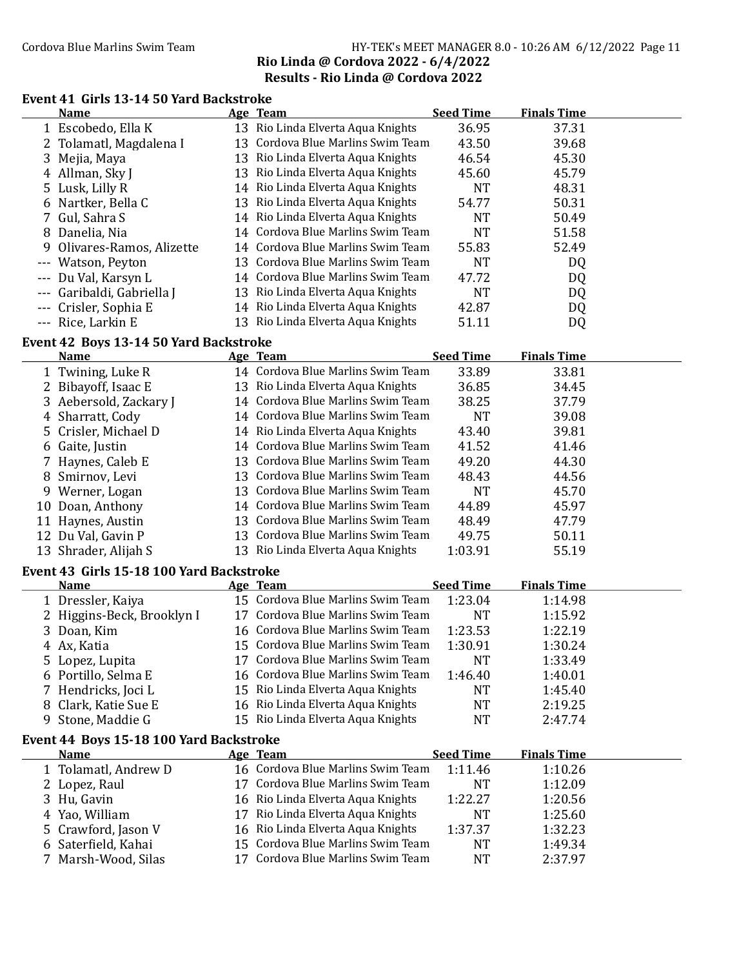## Cordova Blue Marlins Swim Team HY-TEK's MEET MANAGER 8.0 - 10:26 AM 6/12/2022 Page 11 Rio Linda @ Cordova 2022 - 6/4/2022 Results - Rio Linda @ Cordova 2022

## Event 41 Girls 13-14 50 Yard Backstroke

| 13 Rio Linda Elverta Aqua Knights<br>36.95<br>37.31<br>1 Escobedo, Ella K<br>13 Cordova Blue Marlins Swim Team<br>43.50<br>39.68<br>Tolamatl, Magdalena I<br>2 |  |
|----------------------------------------------------------------------------------------------------------------------------------------------------------------|--|
|                                                                                                                                                                |  |
|                                                                                                                                                                |  |
| 13 Rio Linda Elverta Aqua Knights<br>46.54<br>45.30<br>3<br>Mejia, Maya                                                                                        |  |
| 13 Rio Linda Elverta Aqua Knights<br>4 Allman, Sky J<br>45.79<br>45.60                                                                                         |  |
| Lusk, Lilly R<br>14 Rio Linda Elverta Aqua Knights<br><b>NT</b><br>48.31<br>5                                                                                  |  |
| 13 Rio Linda Elverta Aqua Knights<br>54.77<br>50.31<br>6 Nartker, Bella C                                                                                      |  |
| 7 Gul, Sahra S<br>14 Rio Linda Elverta Aqua Knights<br><b>NT</b><br>50.49                                                                                      |  |
| 14 Cordova Blue Marlins Swim Team<br><b>NT</b><br>8 Danelia, Nia<br>51.58                                                                                      |  |
| 14 Cordova Blue Marlins Swim Team<br>Olivares-Ramos, Alizette<br>55.83<br>52.49<br>9                                                                           |  |
| 13 Cordova Blue Marlins Swim Team<br><b>NT</b><br>--- Watson, Peyton<br>DQ                                                                                     |  |
| 14 Cordova Blue Marlins Swim Team<br>47.72<br>Du Val, Karsyn L<br>DQ                                                                                           |  |
| 13 Rio Linda Elverta Aqua Knights<br><b>NT</b><br>Garibaldi, Gabriella J<br>DQ                                                                                 |  |
| --- Crisler, Sophia E<br>14 Rio Linda Elverta Aqua Knights<br>42.87<br>DQ                                                                                      |  |
| 13 Rio Linda Elverta Aqua Knights<br>--- Rice, Larkin E<br>51.11<br>DQ                                                                                         |  |
| Event 42 Boys 13-14 50 Yard Backstroke                                                                                                                         |  |
| <b>Seed Time</b><br><b>Finals Time</b><br>Age Team<br><b>Name</b>                                                                                              |  |
| 14 Cordova Blue Marlins Swim Team<br>33.89<br>33.81<br>1 Twining, Luke R                                                                                       |  |
| 36.85<br>2 Bibayoff, Isaac E<br>13 Rio Linda Elverta Aqua Knights<br>34.45                                                                                     |  |
| 14 Cordova Blue Marlins Swim Team<br>Aebersold, Zackary J<br>38.25<br>37.79<br>3                                                                               |  |
| 14 Cordova Blue Marlins Swim Team<br><b>NT</b><br>39.08<br>Sharratt, Cody<br>4                                                                                 |  |
| 14 Rio Linda Elverta Aqua Knights<br>43.40<br>39.81<br>5 Crisler, Michael D                                                                                    |  |
| 14 Cordova Blue Marlins Swim Team<br>41.52<br>41.46<br>6 Gaite, Justin                                                                                         |  |
| 13 Cordova Blue Marlins Swim Team<br>49.20<br>44.30<br>Haynes, Caleb E                                                                                         |  |
| 13 Cordova Blue Marlins Swim Team<br>48.43<br>44.56<br>Smirnov, Levi<br>8                                                                                      |  |
| 13 Cordova Blue Marlins Swim Team<br><b>NT</b><br>45.70<br>9 Werner, Logan                                                                                     |  |
| 14 Cordova Blue Marlins Swim Team<br>45.97<br>44.89<br>10 Doan, Anthony                                                                                        |  |
| 13 Cordova Blue Marlins Swim Team<br>47.79<br>48.49<br>11 Haynes, Austin                                                                                       |  |
| 13 Cordova Blue Marlins Swim Team<br>12 Du Val, Gavin P<br>49.75<br>50.11                                                                                      |  |
| 13 Rio Linda Elverta Aqua Knights<br>55.19<br>13 Shrader, Alijah S<br>1:03.91                                                                                  |  |
| Event 43 Girls 15-18 100 Yard Backstroke                                                                                                                       |  |
| <b>Seed Time</b><br><b>Finals Time</b><br><u>Name</u><br><b>Age Team</b>                                                                                       |  |
| 15 Cordova Blue Marlins Swim Team<br>1:23.04<br>1:14.98<br>1 Dressler, Kaiya                                                                                   |  |
| 17 Cordova Blue Marlins Swim Team<br><b>NT</b><br>1:15.92<br>2 Higgins-Beck, Brooklyn I                                                                        |  |
| 16 Cordova Blue Marlins Swim Team<br>1:23.53<br>1:22.19<br>3 Doan, Kim                                                                                         |  |
| 15 Cordova Blue Marlins Swim Team<br>1:30.91<br>4 Ax, Katia<br>1:30.24                                                                                         |  |
| 17 Cordova Blue Marlins Swim Team<br>5 Lopez, Lupita<br>NT<br>1:33.49                                                                                          |  |
| 16 Cordova Blue Marlins Swim Team<br>1:46.40<br>6 Portillo, Selma E<br>1:40.01                                                                                 |  |
| 15 Rio Linda Elverta Aqua Knights<br>7 Hendricks, Joci L<br>1:45.40<br><b>NT</b>                                                                               |  |
| Clark, Katie Sue E<br>16 Rio Linda Elverta Aqua Knights<br>2:19.25<br>NT<br>8                                                                                  |  |
| 15 Rio Linda Elverta Aqua Knights<br>Stone, Maddie G<br><b>NT</b><br>2:47.74<br>9                                                                              |  |
| Event 44 Boys 15-18 100 Yard Backstroke                                                                                                                        |  |
| <b>Seed Time</b><br><b>Finals Time</b><br><u>Name</u><br><b>Age Team</b>                                                                                       |  |
| 16 Cordova Blue Marlins Swim Team<br>1:11.46<br>1:10.26<br>1 Tolamatl, Andrew D                                                                                |  |
| 17 Cordova Blue Marlins Swim Team<br><b>NT</b><br>1:12.09<br>2 Lopez, Raul                                                                                     |  |
| 16 Rio Linda Elverta Aqua Knights<br>1:22.27<br>1:20.56<br>3 Hu, Gavin                                                                                         |  |
| 17 Rio Linda Elverta Aqua Knights<br><b>NT</b><br>1:25.60<br>Yao, William<br>4                                                                                 |  |
| Crawford, Jason V<br>16 Rio Linda Elverta Aqua Knights<br>1:37.37<br>1:32.23<br>5.                                                                             |  |
| 15 Cordova Blue Marlins Swim Team<br>Saterfield, Kahai<br><b>NT</b><br>1:49.34<br>6                                                                            |  |
| Cordova Blue Marlins Swim Team<br>Marsh-Wood, Silas<br><b>NT</b><br>2:37.97<br>17                                                                              |  |
|                                                                                                                                                                |  |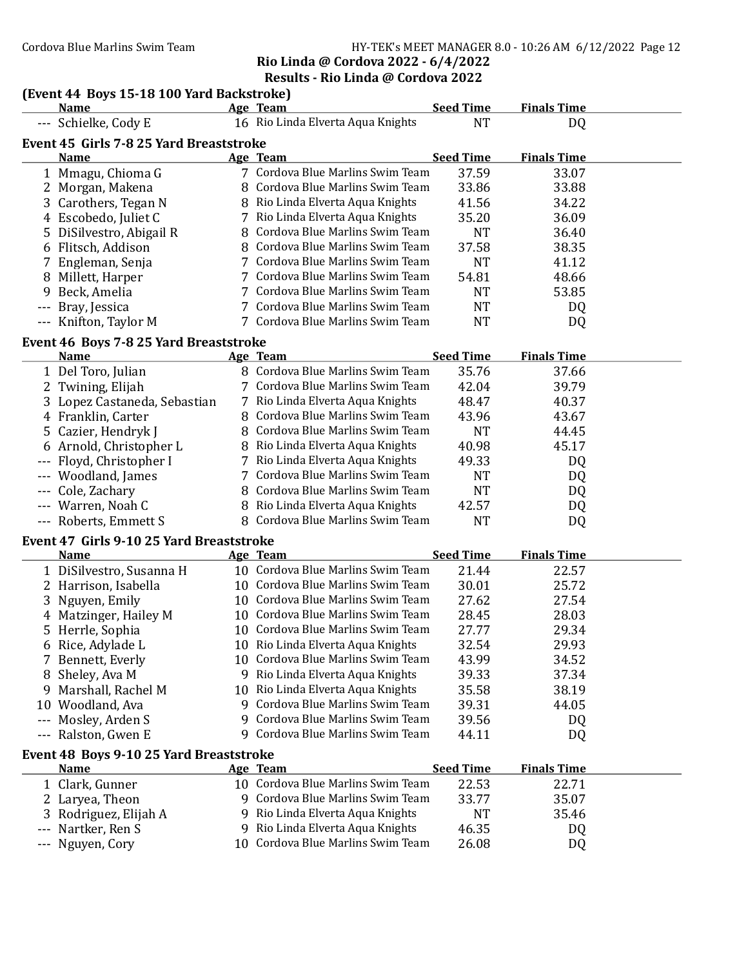#### Cordova Blue Marlins Swim Team HY-TEK's MEET MANAGER 8.0 - 10:26 AM 6/12/2022 Page 12 Rio Linda @ Cordova 2022 - 6/4/2022

## Results - Rio Linda @ Cordova 2022

## (Event 44 Boys 15-18 100 Yard Backstroke)

|   | <b>Name</b>                              |    | Age Team                                                             | <b>Seed Time</b> | <b>Finals Time</b> |  |
|---|------------------------------------------|----|----------------------------------------------------------------------|------------------|--------------------|--|
|   | --- Schielke, Cody E                     |    | 16 Rio Linda Elverta Aqua Knights                                    | <b>NT</b>        | DQ                 |  |
|   | Event 45 Girls 7-8 25 Yard Breaststroke  |    |                                                                      |                  |                    |  |
|   | <b>Name</b>                              |    | Age Team                                                             | <b>Seed Time</b> | <b>Finals Time</b> |  |
|   | 1 Mmagu, Chioma G                        |    | 7 Cordova Blue Marlins Swim Team                                     | 37.59            | 33.07              |  |
|   | 2 Morgan, Makena                         |    | 8 Cordova Blue Marlins Swim Team                                     | 33.86            | 33.88              |  |
|   | 3 Carothers, Tegan N                     |    | 8 Rio Linda Elverta Aqua Knights                                     | 41.56            | 34.22              |  |
|   | 4 Escobedo, Juliet C                     |    | 7 Rio Linda Elverta Aqua Knights                                     | 35.20            | 36.09              |  |
|   | 5 DiSilvestro, Abigail R                 |    | 8 Cordova Blue Marlins Swim Team                                     | <b>NT</b>        | 36.40              |  |
|   | 6 Flitsch, Addison                       |    | 8 Cordova Blue Marlins Swim Team                                     | 37.58            | 38.35              |  |
|   | 7 Engleman, Senja                        |    | 7 Cordova Blue Marlins Swim Team                                     | <b>NT</b>        | 41.12              |  |
|   | 8 Millett, Harper                        |    | 7 Cordova Blue Marlins Swim Team                                     | 54.81            | 48.66              |  |
| 9 | Beck, Amelia                             |    | 7 Cordova Blue Marlins Swim Team                                     | <b>NT</b>        | 53.85              |  |
|   | Bray, Jessica                            |    | 7 Cordova Blue Marlins Swim Team                                     | <b>NT</b>        | DQ                 |  |
|   | --- Knifton, Taylor M                    |    | 7 Cordova Blue Marlins Swim Team                                     | <b>NT</b>        | DQ                 |  |
|   |                                          |    |                                                                      |                  |                    |  |
|   | Event 46 Boys 7-8 25 Yard Breaststroke   |    |                                                                      |                  |                    |  |
|   | <b>Name</b>                              |    | Age Team<br>8 Cordova Blue Marlins Swim Team                         | <b>Seed Time</b> | <b>Finals Time</b> |  |
|   | 1 Del Toro, Julian                       |    | 7 Cordova Blue Marlins Swim Team                                     | 35.76            | 37.66              |  |
|   | 2 Twining, Elijah                        |    |                                                                      | 42.04            | 39.79              |  |
|   | 3 Lopez Castaneda, Sebastian             |    | 7 Rio Linda Elverta Aqua Knights                                     | 48.47            | 40.37              |  |
|   | 4 Franklin, Carter                       |    | 8 Cordova Blue Marlins Swim Team<br>8 Cordova Blue Marlins Swim Team | 43.96            | 43.67              |  |
|   | 5 Cazier, Hendryk J                      |    |                                                                      | <b>NT</b>        | 44.45              |  |
|   | 6 Arnold, Christopher L                  |    | 8 Rio Linda Elverta Aqua Knights                                     | 40.98            | 45.17              |  |
|   | --- Floyd, Christopher I                 |    | 7 Rio Linda Elverta Aqua Knights                                     | 49.33            | DQ                 |  |
|   | --- Woodland, James                      |    | 7 Cordova Blue Marlins Swim Team                                     | <b>NT</b>        | DQ                 |  |
|   | --- Cole, Zachary                        |    | 8 Cordova Blue Marlins Swim Team                                     | <b>NT</b>        | DQ                 |  |
|   | --- Warren, Noah C                       |    | 8 Rio Linda Elverta Aqua Knights                                     | 42.57            | DQ                 |  |
|   | --- Roberts, Emmett S                    |    | 8 Cordova Blue Marlins Swim Team                                     | <b>NT</b>        | DQ                 |  |
|   | Event 47 Girls 9-10 25 Yard Breaststroke |    |                                                                      |                  |                    |  |
|   | <b>Name</b>                              |    | Age Team                                                             | <b>Seed Time</b> | <b>Finals Time</b> |  |
|   | 1 DiSilvestro, Susanna H                 |    | 10 Cordova Blue Marlins Swim Team                                    | 21.44            | 22.57              |  |
|   | 2 Harrison, Isabella                     |    | 10 Cordova Blue Marlins Swim Team                                    | 30.01            | 25.72              |  |
|   | 3 Nguyen, Emily                          |    | 10 Cordova Blue Marlins Swim Team                                    | 27.62            | 27.54              |  |
|   | 4 Matzinger, Hailey M                    |    | 10 Cordova Blue Marlins Swim Team                                    | 28.45            | 28.03              |  |
|   | 5 Herrle, Sophia                         |    | 10 Cordova Blue Marlins Swim Team                                    | 27.77            | 29.34              |  |
|   | 6 Rice, Adylade L                        |    | 10 Rio Linda Elverta Aqua Knights                                    | 32.54            | 29.93              |  |
|   | 7 Bennett, Everly                        |    | 10 Cordova Blue Marlins Swim Team                                    | 43.99            | 34.52              |  |
|   | 8 Sheley, Ava M                          |    | 9 Rio Linda Elverta Aqua Knights                                     | 39.33            | 37.34              |  |
|   | 9 Marshall, Rachel M                     | 10 | Rio Linda Elverta Aqua Knights                                       | 35.58            | 38.19              |  |
|   | 10 Woodland, Ava                         |    | 9 Cordova Blue Marlins Swim Team                                     | 39.31            | 44.05              |  |
|   | --- Mosley, Arden S                      | 9  | Cordova Blue Marlins Swim Team                                       | 39.56            | DQ                 |  |
|   | --- Ralston, Gwen E                      | 9. | Cordova Blue Marlins Swim Team                                       | 44.11            | DQ                 |  |
|   | Event 48 Boys 9-10 25 Yard Breaststroke  |    |                                                                      |                  |                    |  |
|   | <b>Name</b>                              |    | Age Team                                                             | <b>Seed Time</b> | <b>Finals Time</b> |  |
|   | 1 Clark, Gunner                          |    | 10 Cordova Blue Marlins Swim Team                                    | 22.53            | 22.71              |  |
|   | 2 Laryea, Theon                          |    | 9 Cordova Blue Marlins Swim Team                                     | 33.77            | 35.07              |  |
|   | 3 Rodriguez, Elijah A                    | 9  | Rio Linda Elverta Aqua Knights                                       | NT               | 35.46              |  |
|   | --- Nartker, Ren S                       | 9  | Rio Linda Elverta Aqua Knights                                       | 46.35            | DQ                 |  |
|   | --- Nguyen, Cory                         |    | 10 Cordova Blue Marlins Swim Team                                    | 26.08            | DQ                 |  |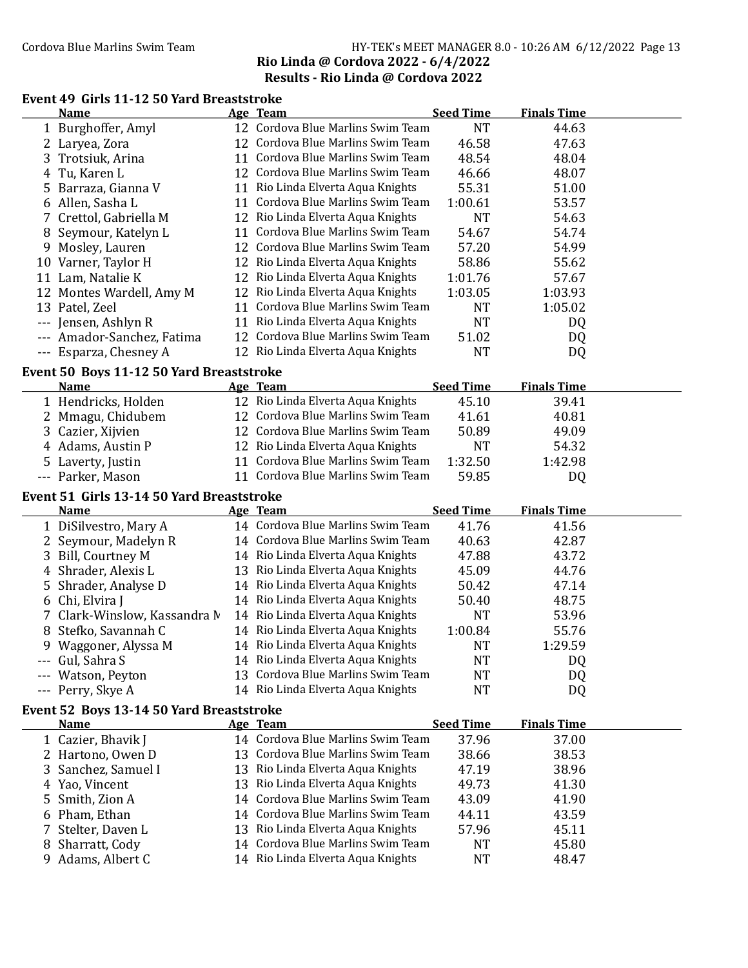## Cordova Blue Marlins Swim Team HY-TEK's MEET MANAGER 8.0 - 10:26 AM 6/12/2022 Page 13 Rio Linda @ Cordova 2022 - 6/4/2022 Results - Rio Linda @ Cordova 2022

## Event 49 Girls 11-12 50 Yard Breaststroke

|    | <b>Name</b>                               |    | Age Team                                                               | <b>Seed Time</b>       | <b>Finals Time</b> |  |
|----|-------------------------------------------|----|------------------------------------------------------------------------|------------------------|--------------------|--|
|    | 1 Burghoffer, Amyl                        |    | 12 Cordova Blue Marlins Swim Team                                      | <b>NT</b>              | 44.63              |  |
|    | 2 Laryea, Zora                            |    | 12 Cordova Blue Marlins Swim Team                                      | 46.58                  | 47.63              |  |
|    | 3 Trotsiuk, Arina                         |    | 11 Cordova Blue Marlins Swim Team                                      | 48.54                  | 48.04              |  |
| 4  | Tu, Karen L                               |    | 12 Cordova Blue Marlins Swim Team                                      | 46.66                  | 48.07              |  |
| 5. | Barraza, Gianna V                         |    | 11 Rio Linda Elverta Aqua Knights                                      | 55.31                  | 51.00              |  |
|    | 6 Allen, Sasha L                          |    | 11 Cordova Blue Marlins Swim Team                                      | 1:00.61                | 53.57              |  |
|    | 7 Crettol, Gabriella M                    |    | 12 Rio Linda Elverta Aqua Knights                                      | <b>NT</b>              | 54.63              |  |
|    | 8 Seymour, Katelyn L                      |    | 11 Cordova Blue Marlins Swim Team                                      | 54.67                  | 54.74              |  |
|    | 9 Mosley, Lauren                          |    | 12 Cordova Blue Marlins Swim Team                                      | 57.20                  | 54.99              |  |
|    | 10 Varner, Taylor H                       |    | 12 Rio Linda Elverta Aqua Knights                                      | 58.86                  | 55.62              |  |
|    | 11 Lam, Natalie K                         |    | 12 Rio Linda Elverta Aqua Knights                                      | 1:01.76                | 57.67              |  |
|    | 12 Montes Wardell, Amy M                  |    | 12 Rio Linda Elverta Aqua Knights                                      | 1:03.05                | 1:03.93            |  |
|    | 13 Patel, Zeel                            |    | 11 Cordova Blue Marlins Swim Team                                      | <b>NT</b>              | 1:05.02            |  |
|    | Jensen, Ashlyn R                          |    | 11 Rio Linda Elverta Aqua Knights                                      | <b>NT</b>              | DQ                 |  |
|    | Amador-Sanchez, Fatima                    |    | 12 Cordova Blue Marlins Swim Team                                      | 51.02                  | DQ                 |  |
|    | --- Esparza, Chesney A                    |    | 12 Rio Linda Elverta Aqua Knights                                      | <b>NT</b>              | DQ                 |  |
|    |                                           |    |                                                                        |                        |                    |  |
|    | Event 50 Boys 11-12 50 Yard Breaststroke  |    |                                                                        |                        |                    |  |
|    | <b>Name</b>                               |    | Age Team                                                               | <b>Seed Time</b>       | <b>Finals Time</b> |  |
|    | 1 Hendricks, Holden                       |    | 12 Rio Linda Elverta Aqua Knights                                      | 45.10                  | 39.41              |  |
|    | 2 Mmagu, Chidubem                         |    | 12 Cordova Blue Marlins Swim Team                                      | 41.61                  | 40.81              |  |
|    | 3 Cazier, Xijvien                         |    | 12 Cordova Blue Marlins Swim Team                                      | 50.89                  | 49.09              |  |
|    | 4 Adams, Austin P                         |    | 12 Rio Linda Elverta Aqua Knights                                      | NT                     | 54.32              |  |
|    | 5 Laverty, Justin                         |    | 11 Cordova Blue Marlins Swim Team                                      | 1:32.50                | 1:42.98            |  |
|    | --- Parker, Mason                         |    | 11 Cordova Blue Marlins Swim Team                                      | 59.85                  | DQ                 |  |
|    |                                           |    |                                                                        |                        |                    |  |
|    | Event 51 Girls 13-14 50 Yard Breaststroke |    |                                                                        |                        |                    |  |
|    | <b>Name</b>                               |    | Age Team                                                               | <b>Seed Time</b>       | <b>Finals Time</b> |  |
|    | 1 DiSilvestro, Mary A                     |    | 14 Cordova Blue Marlins Swim Team                                      | 41.76                  | 41.56              |  |
|    | 2 Seymour, Madelyn R                      |    | 14 Cordova Blue Marlins Swim Team                                      | 40.63                  | 42.87              |  |
| 3  | Bill, Courtney M                          |    | 14 Rio Linda Elverta Aqua Knights                                      | 47.88                  | 43.72              |  |
| 4  | Shrader, Alexis L                         |    | 13 Rio Linda Elverta Aqua Knights                                      | 45.09                  | 44.76              |  |
| 5  |                                           |    | 14 Rio Linda Elverta Aqua Knights                                      | 50.42                  | 47.14              |  |
| 6  | Shrader, Analyse D                        |    | 14 Rio Linda Elverta Aqua Knights                                      | 50.40                  | 48.75              |  |
|    | Chi, Elvira J                             |    | 14 Rio Linda Elverta Aqua Knights                                      | <b>NT</b>              |                    |  |
|    | 7 Clark-Winslow, Kassandra M              |    | 14 Rio Linda Elverta Aqua Knights                                      |                        | 53.96              |  |
|    | 8 Stefko, Savannah C                      |    | 14 Rio Linda Elverta Aqua Knights                                      | 1:00.84<br><b>NT</b>   | 55.76<br>1:29.59   |  |
|    | 9 Waggoner, Alyssa M                      |    |                                                                        |                        |                    |  |
|    | --- Gul, Sahra S                          |    | 14 Rio Linda Elverta Aqua Knights<br>13 Cordova Blue Marlins Swim Team | NT                     | DQ                 |  |
|    | --- Watson, Peyton                        |    |                                                                        | <b>NT</b>              | DQ                 |  |
|    | --- Perry, Skye A                         |    | 14 Rio Linda Elverta Aqua Knights                                      | <b>NT</b>              | DQ                 |  |
|    | Event 52 Boys 13-14 50 Yard Breaststroke  |    |                                                                        |                        |                    |  |
|    | <b>Name</b>                               |    | Age Team                                                               | <b>Seed Time</b>       | <b>Finals Time</b> |  |
|    | 1 Cazier, Bhavik J                        |    | 14 Cordova Blue Marlins Swim Team                                      | 37.96                  | 37.00              |  |
|    | 2 Hartono, Owen D                         |    | 13 Cordova Blue Marlins Swim Team                                      | 38.66                  | 38.53              |  |
|    | Sanchez, Samuel I                         |    | 13 Rio Linda Elverta Aqua Knights                                      | 47.19                  | 38.96              |  |
| 4  | Yao, Vincent                              | 13 | Rio Linda Elverta Aqua Knights                                         | 49.73                  | 41.30              |  |
| 5  | Smith, Zion A                             |    | 14 Cordova Blue Marlins Swim Team                                      | 43.09                  | 41.90              |  |
|    | 6 Pham, Ethan                             |    | 14 Cordova Blue Marlins Swim Team                                      | 44.11                  | 43.59              |  |
|    | Stelter, Daven L                          |    | 13 Rio Linda Elverta Aqua Knights                                      | 57.96                  | 45.11              |  |
|    | 8 Sharratt, Cody<br>9 Adams, Albert C     |    | 14 Cordova Blue Marlins Swim Team<br>14 Rio Linda Elverta Aqua Knights | <b>NT</b><br><b>NT</b> | 45.80<br>48.47     |  |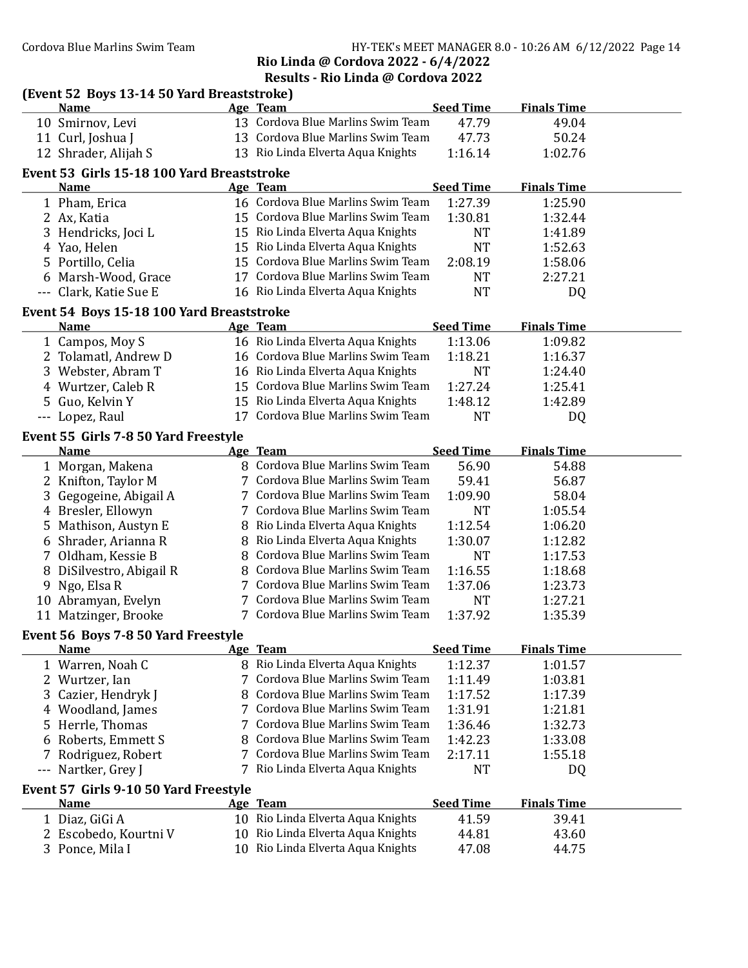Cordova Blue Marlins Swim Team HY-TEK's MEET MANAGER 8.0 - 10:26 AM 6/12/2022 Page 14

Rio Linda @ Cordova 2022 - 6/4/2022 Results - Rio Linda @ Cordova 2022

|       | (Event 52 Boys 13-14 50 Yard Breaststroke) |    |                                                                      |                  |                    |  |
|-------|--------------------------------------------|----|----------------------------------------------------------------------|------------------|--------------------|--|
|       | <b>Name</b>                                |    | <b>Age Team</b>                                                      | <b>Seed Time</b> | <b>Finals Time</b> |  |
|       | 10 Smirnov, Levi                           |    | 13 Cordova Blue Marlins Swim Team                                    | 47.79            | 49.04              |  |
|       | 11 Curl, Joshua J                          |    | 13 Cordova Blue Marlins Swim Team                                    | 47.73            | 50.24              |  |
|       | 12 Shrader, Alijah S                       |    | 13 Rio Linda Elverta Aqua Knights                                    | 1:16.14          | 1:02.76            |  |
|       | Event 53 Girls 15-18 100 Yard Breaststroke |    |                                                                      |                  |                    |  |
|       | <b>Name</b>                                |    | Age Team                                                             | <b>Seed Time</b> | <b>Finals Time</b> |  |
|       | 1 Pham, Erica                              |    | 16 Cordova Blue Marlins Swim Team                                    | 1:27.39          | 1:25.90            |  |
|       | 2 Ax, Katia                                |    | 15 Cordova Blue Marlins Swim Team                                    | 1:30.81          | 1:32.44            |  |
|       | 3 Hendricks, Joci L                        |    | 15 Rio Linda Elverta Aqua Knights                                    | <b>NT</b>        | 1:41.89            |  |
|       | 4 Yao, Helen                               |    | 15 Rio Linda Elverta Aqua Knights                                    | <b>NT</b>        | 1:52.63            |  |
|       | 5 Portillo, Celia                          |    | 15 Cordova Blue Marlins Swim Team                                    | 2:08.19          | 1:58.06            |  |
|       | 6 Marsh-Wood, Grace                        |    | 17 Cordova Blue Marlins Swim Team                                    | <b>NT</b>        | 2:27.21            |  |
|       | --- Clark, Katie Sue E                     |    | 16 Rio Linda Elverta Aqua Knights                                    | <b>NT</b>        | DQ                 |  |
|       | Event 54 Boys 15-18 100 Yard Breaststroke  |    |                                                                      |                  |                    |  |
|       | <b>Name</b>                                |    | Age Team                                                             | <b>Seed Time</b> | <b>Finals Time</b> |  |
|       | 1 Campos, Moy S                            |    | 16 Rio Linda Elverta Aqua Knights                                    | 1:13.06          | 1:09.82            |  |
|       | 2 Tolamatl, Andrew D                       |    | 16 Cordova Blue Marlins Swim Team                                    | 1:18.21          | 1:16.37            |  |
|       | 3 Webster, Abram T                         |    | 16 Rio Linda Elverta Aqua Knights                                    | <b>NT</b>        | 1:24.40            |  |
|       | 4 Wurtzer, Caleb R                         |    | 15 Cordova Blue Marlins Swim Team                                    | 1:27.24          | 1:25.41            |  |
|       | 5 Guo, Kelvin Y                            |    | 15 Rio Linda Elverta Aqua Knights                                    | 1:48.12          | 1:42.89            |  |
|       | --- Lopez, Raul                            |    | 17 Cordova Blue Marlins Swim Team                                    | <b>NT</b>        | DQ                 |  |
|       |                                            |    |                                                                      |                  |                    |  |
|       | Event 55 Girls 7-8 50 Yard Freestyle       |    |                                                                      |                  |                    |  |
|       | <b>Name</b>                                |    | Age Team<br>8 Cordova Blue Marlins Swim Team                         | <b>Seed Time</b> | <b>Finals Time</b> |  |
|       | 1 Morgan, Makena                           |    | 7 Cordova Blue Marlins Swim Team                                     | 56.90            | 54.88              |  |
|       | 2 Knifton, Taylor M                        |    |                                                                      | 59.41            | 56.87              |  |
|       | 3 Gegogeine, Abigail A                     |    | 7 Cordova Blue Marlins Swim Team<br>7 Cordova Blue Marlins Swim Team | 1:09.90          | 58.04              |  |
|       | 4 Bresler, Ellowyn                         |    |                                                                      | <b>NT</b>        | 1:05.54            |  |
| 5     | Mathison, Austyn E                         |    | 8 Rio Linda Elverta Aqua Knights                                     | 1:12.54          | 1:06.20            |  |
|       | 6 Shrader, Arianna R                       | 8  | Rio Linda Elverta Aqua Knights<br>Cordova Blue Marlins Swim Team     | 1:30.07          | 1:12.82            |  |
|       | 7 Oldham, Kessie B                         | 8  | Cordova Blue Marlins Swim Team                                       | <b>NT</b>        | 1:17.53            |  |
|       | 8 DiSilvestro, Abigail R                   |    | Cordova Blue Marlins Swim Team                                       | 1:16.55          | 1:18.68            |  |
| 9     | Ngo, Elsa R                                | 7  | 7 Cordova Blue Marlins Swim Team                                     | 1:37.06          | 1:23.73            |  |
|       | 10 Abramyan, Evelyn                        |    | 7 Cordova Blue Marlins Swim Team                                     | <b>NT</b>        | 1:27.21            |  |
|       | 11 Matzinger, Brooke                       |    |                                                                      | 1:37.92          | 1:35.39            |  |
|       | Event 56 Boys 7-8 50 Yard Freestyle        |    |                                                                      |                  |                    |  |
|       | <b>Name</b>                                |    | Age Team                                                             | <b>Seed Time</b> | <b>Finals Time</b> |  |
|       | 1 Warren, Noah C                           |    | 8 Rio Linda Elverta Aqua Knights                                     | 1:12.37          | 1:01.57            |  |
|       | 2 Wurtzer, Ian                             | 7  | Cordova Blue Marlins Swim Team                                       | 1:11.49          | 1:03.81            |  |
|       | 3 Cazier, Hendryk J                        | 8  | Cordova Blue Marlins Swim Team                                       | 1:17.52          | 1:17.39            |  |
|       | 4 Woodland, James                          | 7  | Cordova Blue Marlins Swim Team                                       | 1:31.91          | 1:21.81            |  |
|       | 5 Herrle, Thomas                           | 7  | Cordova Blue Marlins Swim Team                                       | 1:36.46          | 1:32.73            |  |
|       | Roberts, Emmett S                          |    | Cordova Blue Marlins Swim Team                                       | 1:42.23          | 1:33.08            |  |
|       | Rodriguez, Robert                          | 7  | Cordova Blue Marlins Swim Team                                       | 2:17.11          | 1:55.18            |  |
| $---$ | Nartker, Grey J                            |    | Rio Linda Elverta Aqua Knights                                       | NT               | DQ                 |  |
|       | Event 57 Girls 9-10 50 Yard Freestyle      |    |                                                                      |                  |                    |  |
|       | <b>Name</b>                                |    | Age Team                                                             | <b>Seed Time</b> | <b>Finals Time</b> |  |
|       | 1 Diaz, GiGi A                             |    | 10 Rio Linda Elverta Aqua Knights                                    | 41.59            | 39.41              |  |
|       | 2 Escobedo, Kourtni V                      | 10 | Rio Linda Elverta Aqua Knights                                       | 44.81            | 43.60              |  |
|       | 3 Ponce, Mila I                            |    | 10 Rio Linda Elverta Aqua Knights                                    | 47.08            | 44.75              |  |
|       |                                            |    |                                                                      |                  |                    |  |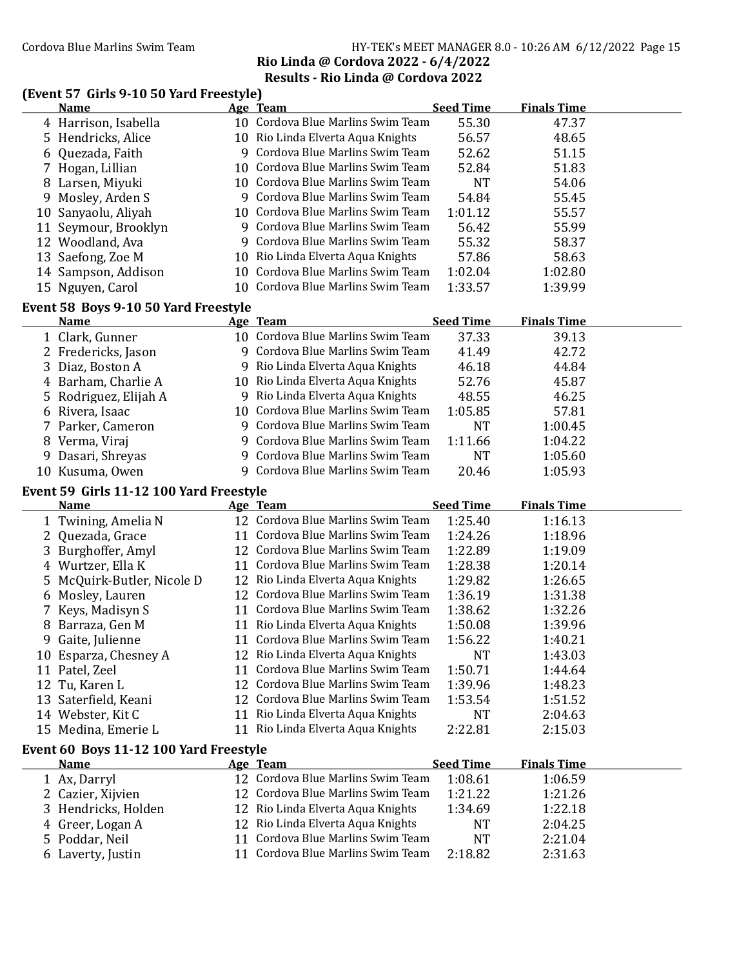## Cordova Blue Marlins Swim Team Team HY-TEK's MEET MANAGER 8.0 - 10:26 AM 6/12/2022 Page 15 Rio Linda @ Cordova 2022 - 6/4/2022 Results - Rio Linda @ Cordova 2022

### (Event 57 Girls 9-10 50 Yard Freestyle)

|    | <b>Name</b>                          |   | Age Team                          | <b>Seed Time</b> | <b>Finals Time</b> |  |
|----|--------------------------------------|---|-----------------------------------|------------------|--------------------|--|
|    | 4 Harrison, Isabella                 |   | 10 Cordova Blue Marlins Swim Team | 55.30            | 47.37              |  |
|    | 5 Hendricks, Alice                   |   | 10 Rio Linda Elverta Aqua Knights | 56.57            | 48.65              |  |
|    | 6 Quezada, Faith                     | 9 | Cordova Blue Marlins Swim Team    | 52.62            | 51.15              |  |
|    | 7 Hogan, Lillian                     |   | 10 Cordova Blue Marlins Swim Team | 52.84            | 51.83              |  |
|    | 8 Larsen, Miyuki                     |   | 10 Cordova Blue Marlins Swim Team | NT               | 54.06              |  |
| 9. | Mosley, Arden S                      | q | Cordova Blue Marlins Swim Team    | 54.84            | 55.45              |  |
| 10 | Sanyaolu, Aliyah                     |   | 10 Cordova Blue Marlins Swim Team | 1:01.12          | 55.57              |  |
|    | 11 Seymour, Brooklyn                 | 9 | Cordova Blue Marlins Swim Team    | 56.42            | 55.99              |  |
|    | 12 Woodland, Ava                     | 9 | Cordova Blue Marlins Swim Team    | 55.32            | 58.37              |  |
|    | 13 Saefong, Zoe M                    |   | 10 Rio Linda Elverta Aqua Knights | 57.86            | 58.63              |  |
|    | 14 Sampson, Addison                  |   | 10 Cordova Blue Marlins Swim Team | 1:02.04          | 1:02.80            |  |
|    | 15 Nguyen, Carol                     |   | 10 Cordova Blue Marlins Swim Team | 1:33.57          | 1:39.99            |  |
|    | Event 58 Boys 9-10 50 Yard Freestyle |   |                                   |                  |                    |  |
|    | <b>Name</b>                          |   | <b>Age Team</b>                   | <b>Seed Time</b> | <b>Finals Time</b> |  |
|    | 1 Clark, Gunner                      |   | 10 Cordova Blue Marlins Swim Team | 37.33            | 39.13              |  |
|    | 2 Fredericks, Jason                  | 9 | Cordova Blue Marlins Swim Team    | 41.49            | 42.72              |  |
|    | 3 Diaz, Boston A                     | 9 | Rio Linda Elverta Aqua Knights    | 46.18            | 44.84              |  |
|    | 4 :Barham Charlie A                  |   | 10 Rio Linda Elverta Aqua Knights | 52.76            | 45.87              |  |

| 3 Diaz, Boston A      | 9 Rio Linda Elverta Aqua Knights  | 46.18     | 44.84   |  |
|-----------------------|-----------------------------------|-----------|---------|--|
| 4 Barham, Charlie A   | 10 Rio Linda Elverta Aqua Knights | 52.76     | 45.87   |  |
| 5 Rodriguez, Elijah A | 9 Rio Linda Elverta Aqua Knights  | 48.55     | 46.25   |  |
| 6 Rivera, Isaac       | 10 Cordova Blue Marlins Swim Team | 1:05.85   | 57.81   |  |
| 7 Parker, Cameron     | 9 Cordova Blue Marlins Swim Team  | <b>NT</b> | 1:00.45 |  |
| 8 Verma, Viraj        | 9 Cordova Blue Marlins Swim Team  | 1:11.66   | 1:04.22 |  |
| 9 Dasari, Shreyas     | 9 Cordova Blue Marlins Swim Team  | NT        | 1:05.60 |  |
| 10 Kusuma, Owen       | 9 Cordova Blue Marlins Swim Team  | 20.46     | 1:05.93 |  |

## Event 59 Girls 11-12 100 Yard Freestyle

|    | <b>Name</b>                            |    | Age Team                          | <b>Seed Time</b> | <b>Finals Time</b> |  |
|----|----------------------------------------|----|-----------------------------------|------------------|--------------------|--|
|    | 1 Twining, Amelia N                    |    | 12 Cordova Blue Marlins Swim Team | 1:25.40          | 1:16.13            |  |
|    | 2 Quezada, Grace                       | 11 | Cordova Blue Marlins Swim Team    | 1:24.26          | 1:18.96            |  |
| 3  | Burghoffer, Amyl                       | 12 | Cordova Blue Marlins Swim Team    | 1:22.89          | 1:19.09            |  |
| 4  | Wurtzer, Ella K                        | 11 | Cordova Blue Marlins Swim Team    | 1:28.38          | 1:20.14            |  |
| 5. | McQuirk-Butler, Nicole D               | 12 | Rio Linda Elverta Aqua Knights    | 1:29.82          | 1:26.65            |  |
| 6  | Mosley, Lauren                         |    | 12 Cordova Blue Marlins Swim Team | 1:36.19          | 1:31.38            |  |
|    | 7 Keys, Madisyn S                      | 11 | Cordova Blue Marlins Swim Team    | 1:38.62          | 1:32.26            |  |
| 8  | Barraza, Gen M                         |    | 11 Rio Linda Elverta Aqua Knights | 1:50.08          | 1:39.96            |  |
| 9  | Gaite, Julienne                        | 11 | Cordova Blue Marlins Swim Team    | 1:56.22          | 1:40.21            |  |
| 10 | Esparza, Chesney A                     |    | 12 Rio Linda Elverta Aqua Knights | <b>NT</b>        | 1:43.03            |  |
|    | 11 Patel, Zeel                         | 11 | Cordova Blue Marlins Swim Team    | 1:50.71          | 1:44.64            |  |
| 12 | Tu, Karen L                            | 12 | Cordova Blue Marlins Swim Team    | 1:39.96          | 1:48.23            |  |
| 13 | Saterfield, Keani                      | 12 | Cordova Blue Marlins Swim Team    | 1:53.54          | 1:51.52            |  |
| 14 | Webster, Kit C                         | 11 | Rio Linda Elverta Aqua Knights    | <b>NT</b>        | 2:04.63            |  |
| 15 | Medina, Emerie L                       | 11 | Rio Linda Elverta Aqua Knights    | 2:22.81          | 2:15.03            |  |
|    | Event 60 Boys 11-12 100 Yard Freestyle |    |                                   |                  |                    |  |
|    | <b>Name</b>                            |    | <b>Age Team</b>                   | <b>Seed Time</b> | <b>Finals Time</b> |  |
|    | 1 Ax, Darryl                           |    | 12 Cordova Blue Marlins Swim Team | 1:08.61          | 1:06.59            |  |
|    | 2 Cazier, Xijvien                      |    | 12 Cordova Blue Marlins Swim Team | 1:21.22          | 1:21.26            |  |
| 3  | Hendricks, Holden                      | 12 | Rio Linda Elverta Aqua Knights    | 1:34.69          | 1:22.18            |  |
|    | 4 Greer, Logan A                       | 12 | Rio Linda Elverta Aqua Knights    | <b>NT</b>        | 2:04.25            |  |
|    | 5 Poddar, Neil                         | 11 | Cordova Blue Marlins Swim Team    | <b>NT</b>        | 2:21.04            |  |
| 6  | Laverty, Justin                        | 11 | Cordova Blue Marlins Swim Team    | 2:18.82          | 2:31.63            |  |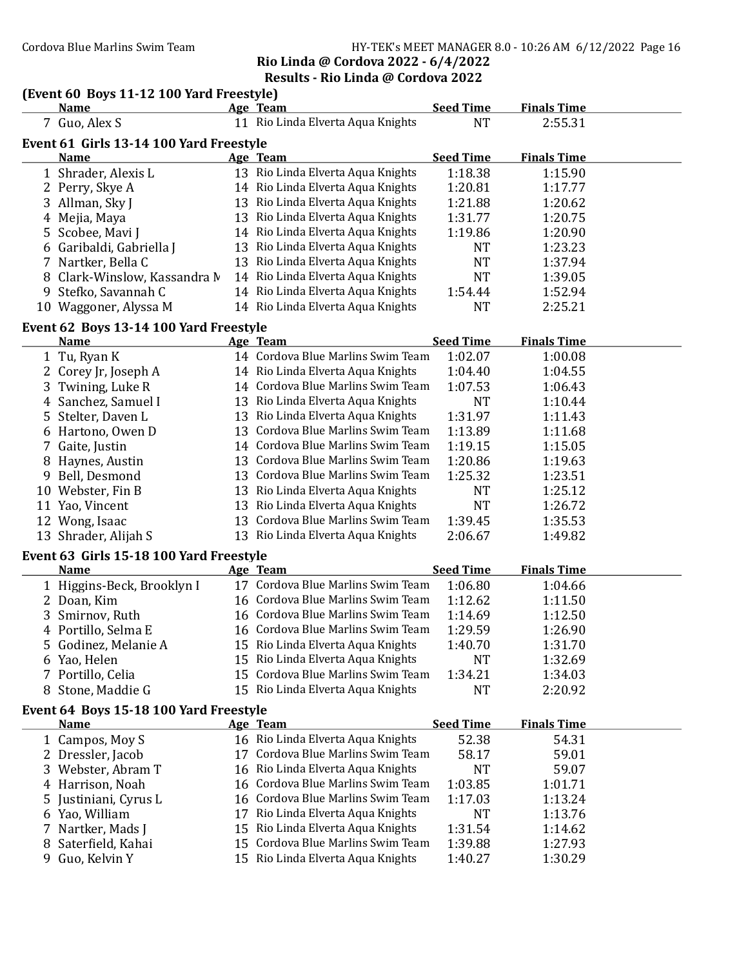#### Cordova Blue Marlins Swim Team Team HY-TEK's MEET MANAGER 8.0 - 10:26 AM 6/12/2022 Page 16 Rio Linda @ Cordova 2022 - 6/4/2022 Results - Rio Linda @ Cordova 2022

#### (Event 60 Boys 11-12 100 Yard Freestyle)

|                                         | <b>Name</b>                                           |    | Age Team                          | <b>Seed Time</b> | <b>Finals Time</b> |  |  |  |
|-----------------------------------------|-------------------------------------------------------|----|-----------------------------------|------------------|--------------------|--|--|--|
|                                         | 7 Guo, Alex S                                         |    | 11 Rio Linda Elverta Aqua Knights | <b>NT</b>        | 2:55.31            |  |  |  |
| Event 61 Girls 13-14 100 Yard Freestyle |                                                       |    |                                   |                  |                    |  |  |  |
|                                         | <b>Name</b>                                           |    | Age Team                          | <b>Seed Time</b> | <b>Finals Time</b> |  |  |  |
|                                         | 1 Shrader, Alexis L                                   |    | 13 Rio Linda Elverta Aqua Knights | 1:18.38          | 1:15.90            |  |  |  |
|                                         | 2 Perry, Skye A                                       |    | 14 Rio Linda Elverta Aqua Knights | 1:20.81          | 1:17.77            |  |  |  |
|                                         | 3 Allman, Sky J                                       |    | 13 Rio Linda Elverta Aqua Knights | 1:21.88          | 1:20.62            |  |  |  |
|                                         | 4 Mejia, Maya                                         |    | 13 Rio Linda Elverta Aqua Knights | 1:31.77          | 1:20.75            |  |  |  |
|                                         | 5 Scobee, Mavi J                                      |    | 14 Rio Linda Elverta Aqua Knights | 1:19.86          | 1:20.90            |  |  |  |
|                                         | 6 Garibaldi, Gabriella J                              |    | 13 Rio Linda Elverta Aqua Knights | <b>NT</b>        | 1:23.23            |  |  |  |
|                                         | 7 Nartker, Bella C                                    |    | 13 Rio Linda Elverta Aqua Knights | <b>NT</b>        | 1:37.94            |  |  |  |
|                                         | 8 Clark-Winslow, Kassandra M                          |    | 14 Rio Linda Elverta Aqua Knights | <b>NT</b>        | 1:39.05            |  |  |  |
| 9                                       | Stefko, Savannah C                                    |    | 14 Rio Linda Elverta Aqua Knights | 1:54.44          | 1:52.94            |  |  |  |
|                                         | 10 Waggoner, Alyssa M                                 |    | 14 Rio Linda Elverta Aqua Knights | <b>NT</b>        | 2:25.21            |  |  |  |
|                                         | Event 62 Boys 13-14 100 Yard Freestyle                |    |                                   |                  |                    |  |  |  |
|                                         | <b>Name</b>                                           |    | Age Team                          | <b>Seed Time</b> | <b>Finals Time</b> |  |  |  |
|                                         | 1 Tu, Ryan K                                          |    | 14 Cordova Blue Marlins Swim Team | 1:02.07          | 1:00.08            |  |  |  |
|                                         | 2 Corey Jr, Joseph A                                  |    | 14 Rio Linda Elverta Aqua Knights | 1:04.40          | 1:04.55            |  |  |  |
| 3                                       | Twining, Luke R                                       |    | 14 Cordova Blue Marlins Swim Team | 1:07.53          | 1:06.43            |  |  |  |
|                                         | 4 Sanchez, Samuel I                                   |    | 13 Rio Linda Elverta Aqua Knights | <b>NT</b>        | 1:10.44            |  |  |  |
|                                         | 5 Stelter, Daven L                                    |    | 13 Rio Linda Elverta Aqua Knights | 1:31.97          | 1:11.43            |  |  |  |
|                                         | 6 Hartono, Owen D                                     |    | 13 Cordova Blue Marlins Swim Team | 1:13.89          | 1:11.68            |  |  |  |
| 7                                       | Gaite, Justin                                         |    | 14 Cordova Blue Marlins Swim Team | 1:19.15          | 1:15.05            |  |  |  |
|                                         | 8 Haynes, Austin                                      |    | 13 Cordova Blue Marlins Swim Team | 1:20.86          | 1:19.63            |  |  |  |
|                                         | 9 Bell, Desmond                                       |    | 13 Cordova Blue Marlins Swim Team | 1:25.32          | 1:23.51            |  |  |  |
|                                         | 10 Webster, Fin B                                     |    | 13 Rio Linda Elverta Aqua Knights | <b>NT</b>        | 1:25.12            |  |  |  |
|                                         | 11 Yao, Vincent                                       |    | 13 Rio Linda Elverta Aqua Knights | <b>NT</b>        | 1:26.72            |  |  |  |
|                                         | 12 Wong, Isaac                                        |    | 13 Cordova Blue Marlins Swim Team | 1:39.45          | 1:35.53            |  |  |  |
|                                         | 13 Shrader, Alijah S                                  |    | 13 Rio Linda Elverta Aqua Knights | 2:06.67          | 1:49.82            |  |  |  |
|                                         | Event 63 Girls 15-18 100 Yard Freestyle               |    |                                   |                  |                    |  |  |  |
|                                         | Name                                                  |    | Age Team                          | <b>Seed Time</b> | <b>Finals Time</b> |  |  |  |
|                                         | 1 Higgins-Beck, Brooklyn I                            |    | 17 Cordova Blue Marlins Swim Team | 1:06.80          | 1:04.66            |  |  |  |
|                                         | 2 Doan, Kim                                           |    | 16 Cordova Blue Marlins Swim Team | 1:12.62          | 1:11.50            |  |  |  |
|                                         | 3 Smirnov, Ruth                                       |    | 16 Cordova Blue Marlins Swim Team | 1:14.69          | 1:12.50            |  |  |  |
|                                         | 4 Portillo, Selma E                                   |    | 16 Cordova Blue Marlins Swim Team | 1:29.59          | 1:26.90            |  |  |  |
|                                         | 5 Godinez, Melanie A                                  |    | 15 Rio Linda Elverta Aqua Knights | 1:40.70          | 1:31.70            |  |  |  |
|                                         | 6 Yao, Helen                                          |    | 15 Rio Linda Elverta Aqua Knights | <b>NT</b>        | 1:32.69            |  |  |  |
|                                         | 7 Portillo, Celia                                     |    | 15 Cordova Blue Marlins Swim Team | 1:34.21          | 1:34.03            |  |  |  |
|                                         | 8 Stone, Maddie G                                     |    | 15 Rio Linda Elverta Aqua Knights | <b>NT</b>        | 2:20.92            |  |  |  |
|                                         |                                                       |    |                                   |                  |                    |  |  |  |
|                                         | Event 64 Boys 15-18 100 Yard Freestyle<br><b>Name</b> |    | Age Team                          | <b>Seed Time</b> | <b>Finals Time</b> |  |  |  |
|                                         | 1 Campos, Moy S                                       |    | 16 Rio Linda Elverta Aqua Knights | 52.38            | 54.31              |  |  |  |
|                                         | 2 Dressler, Jacob                                     |    | 17 Cordova Blue Marlins Swim Team | 58.17            | 59.01              |  |  |  |
|                                         | 3 Webster, Abram T                                    |    | 16 Rio Linda Elverta Aqua Knights | <b>NT</b>        | 59.07              |  |  |  |
|                                         | 4 Harrison, Noah                                      | 16 | Cordova Blue Marlins Swim Team    | 1:03.85          | 1:01.71            |  |  |  |
|                                         | 5 Justiniani, Cyrus L                                 | 16 | Cordova Blue Marlins Swim Team    | 1:17.03          | 1:13.24            |  |  |  |
|                                         | 6 Yao, William                                        |    | 17 Rio Linda Elverta Aqua Knights | <b>NT</b>        | 1:13.76            |  |  |  |

7 Nartker, Mads J 15 Rio Linda Elverta Aqua Knights 1:31.54 1:14.62<br>8 Saterfield, Kahai 15 Cordova Blue Marlins Swim Team 1:39.88 1:27.93

15 Rio Linda Elverta Aqua Knights 1:40.27 1:30.29

8 Saterfield, Kahai 15 Cordova Blue Marlins Swim Team 1:39.88<br>9 Guo, Kelvin Y 15 Rio Linda Elverta Aqua Knights 1:40.27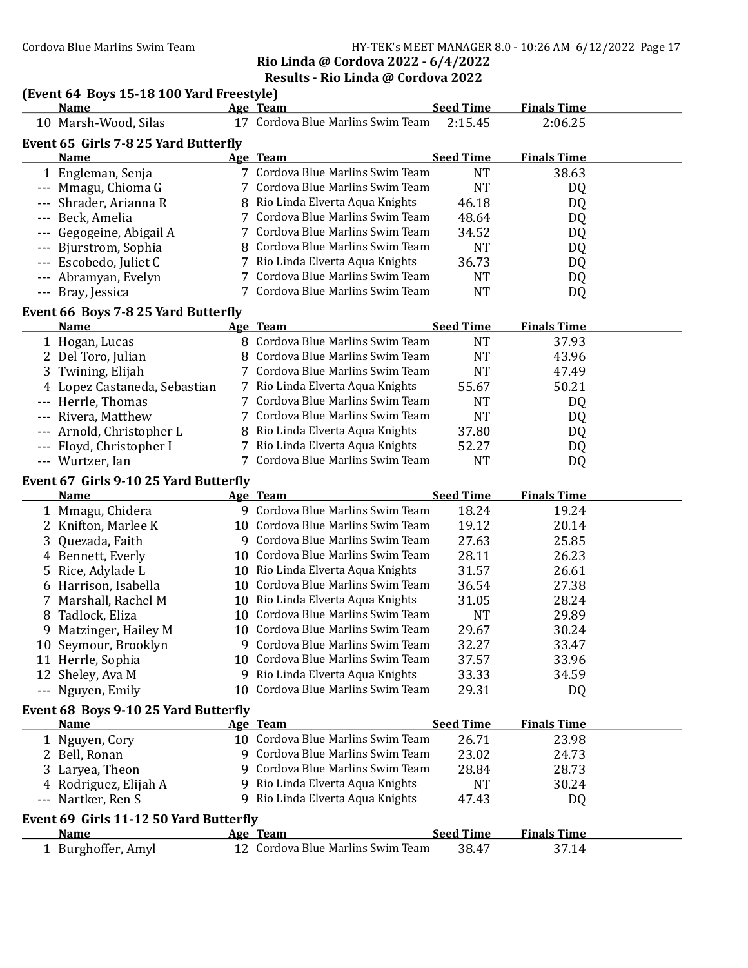## Cordova Blue Marlins Swim Team Funching Supply 19th HY-TEK's MEET MANAGER 8.0 - 10:26 AM 6/12/2022 Page 17 Rio Linda @ Cordova 2022 - 6/4/2022

#### Results - Rio Linda @ Cordova 2022

# (Event 64 Boys 15-18 100 Yard Freestyle)<br>Name Age Team

| <b>Name</b>                            |    | Age Team                                                               | <b>Seed Time</b>          | <b>Finals Time</b>          |  |
|----------------------------------------|----|------------------------------------------------------------------------|---------------------------|-----------------------------|--|
| 10 Marsh-Wood, Silas                   |    | 17 Cordova Blue Marlins Swim Team                                      | 2:15.45                   | 2:06.25                     |  |
| Event 65 Girls 7-8 25 Yard Butterfly   |    |                                                                        |                           |                             |  |
| <b>Name</b>                            |    | Age Team                                                               | <b>Seed Time</b>          | <b>Finals Time</b>          |  |
| 1 Engleman, Senja                      |    | 7 Cordova Blue Marlins Swim Team                                       | <b>NT</b>                 | 38.63                       |  |
| --- Mmagu, Chioma G                    |    | 7 Cordova Blue Marlins Swim Team                                       | <b>NT</b>                 | DQ                          |  |
| --- Shrader, Arianna R                 |    | 8 Rio Linda Elverta Aqua Knights                                       | 46.18                     | DQ                          |  |
| --- Beck, Amelia                       |    | 7 Cordova Blue Marlins Swim Team                                       | 48.64                     | DQ                          |  |
| --- Gegogeine, Abigail A               |    | 7 Cordova Blue Marlins Swim Team                                       | 34.52                     | DQ                          |  |
| --- Bjurstrom, Sophia                  |    | 8 Cordova Blue Marlins Swim Team                                       | <b>NT</b>                 | DQ                          |  |
| --- Escobedo, Juliet C                 |    | 7 Rio Linda Elverta Aqua Knights                                       | 36.73                     | DQ                          |  |
| --- Abramyan, Evelyn                   |    | 7 Cordova Blue Marlins Swim Team                                       | <b>NT</b>                 | DQ                          |  |
| --- Bray, Jessica                      |    | 7 Cordova Blue Marlins Swim Team                                       | <b>NT</b>                 | DQ                          |  |
|                                        |    |                                                                        |                           |                             |  |
| Event 66 Boys 7-8 25 Yard Butterfly    |    |                                                                        |                           |                             |  |
| <b>Name</b>                            |    | Age Team                                                               | <b>Seed Time</b>          | <b>Finals Time</b>          |  |
| 1 Hogan, Lucas                         |    | 8 Cordova Blue Marlins Swim Team                                       | <b>NT</b>                 | 37.93                       |  |
| 2 Del Toro, Julian                     |    | 8 Cordova Blue Marlins Swim Team                                       | <b>NT</b>                 | 43.96                       |  |
| 3 Twining, Elijah                      |    | 7 Cordova Blue Marlins Swim Team                                       | <b>NT</b>                 | 47.49                       |  |
| 4 Lopez Castaneda, Sebastian           |    | 7 Rio Linda Elverta Aqua Knights                                       | 55.67                     | 50.21                       |  |
| --- Herrle, Thomas                     |    | 7 Cordova Blue Marlins Swim Team                                       | <b>NT</b>                 | DQ                          |  |
| --- Rivera, Matthew                    |    | 7 Cordova Blue Marlins Swim Team                                       | <b>NT</b>                 | DQ                          |  |
| --- Arnold, Christopher L              |    | 8 Rio Linda Elverta Aqua Knights                                       | 37.80                     | DQ                          |  |
| --- Floyd, Christopher I               |    | 7 Rio Linda Elverta Aqua Knights                                       | 52.27                     | DQ                          |  |
| --- Wurtzer, Ian                       |    | 7 Cordova Blue Marlins Swim Team                                       | <b>NT</b>                 | DQ                          |  |
| Event 67 Girls 9-10 25 Yard Butterfly  |    |                                                                        |                           |                             |  |
|                                        |    |                                                                        |                           |                             |  |
| <b>Name</b>                            |    | Age Team                                                               | <b>Seed Time</b>          | <b>Finals Time</b>          |  |
|                                        |    | 9 Cordova Blue Marlins Swim Team                                       | 18.24                     | 19.24                       |  |
| 1 Mmagu, Chidera                       |    | 10 Cordova Blue Marlins Swim Team                                      | 19.12                     | 20.14                       |  |
| 2 Knifton, Marlee K                    |    | 9 Cordova Blue Marlins Swim Team                                       | 27.63                     | 25.85                       |  |
| 3 Quezada, Faith                       |    | 10 Cordova Blue Marlins Swim Team                                      |                           | 26.23                       |  |
| 4 Bennett, Everly                      |    |                                                                        | 28.11                     |                             |  |
| 5 Rice, Adylade L                      |    | 10 Rio Linda Elverta Aqua Knights<br>10 Cordova Blue Marlins Swim Team | 31.57                     | 26.61                       |  |
| 6 Harrison, Isabella                   |    |                                                                        | 36.54                     | 27.38                       |  |
| 7 Marshall, Rachel M                   |    | 10 Rio Linda Elverta Aqua Knights                                      | 31.05                     | 28.24                       |  |
| 8 Tadlock, Eliza                       |    | 10 Cordova Blue Marlins Swim Team                                      | <b>NT</b>                 | 29.89                       |  |
| 9 Matzinger, Hailey M                  |    | 10 Cordova Blue Marlins Swim Team                                      | 29.67                     | 30.24                       |  |
| 10 Seymour, Brooklyn                   |    | 9 Cordova Blue Marlins Swim Team                                       | 32.27                     | 33.47                       |  |
| 11 Herrle, Sophia                      |    | 10 Cordova Blue Marlins Swim Team                                      | 37.57                     | 33.96                       |  |
| 12 Sheley, Ava M                       |    | 9 Rio Linda Elverta Aqua Knights                                       | 33.33                     | 34.59                       |  |
| --- Nguyen, Emily                      |    | 10 Cordova Blue Marlins Swim Team                                      | 29.31                     | DQ                          |  |
| Event 68 Boys 9-10 25 Yard Butterfly   |    |                                                                        |                           |                             |  |
| <b>Name</b>                            |    | Age Team                                                               | <b>Seed Time</b>          | <b>Finals Time</b>          |  |
| 1 Nguyen, Cory                         |    | 10 Cordova Blue Marlins Swim Team                                      | 26.71                     | 23.98                       |  |
| 2 Bell, Ronan                          |    | Cordova Blue Marlins Swim Team                                         | 23.02                     | 24.73                       |  |
| 3 Laryea, Theon                        | q  | Cordova Blue Marlins Swim Team                                         | 28.84                     | 28.73                       |  |
| 4 Rodriguez, Elijah A                  | 9. | Rio Linda Elverta Aqua Knights                                         | <b>NT</b>                 | 30.24                       |  |
| --- Nartker, Ren S                     |    | 9 Rio Linda Elverta Aqua Knights                                       | 47.43                     | DQ                          |  |
| Event 69 Girls 11-12 50 Yard Butterfly |    |                                                                        |                           |                             |  |
| <b>Name</b><br>1 Burghoffer, Amyl      |    | <b>Age Team</b><br>12 Cordova Blue Marlins Swim Team                   | <b>Seed Time</b><br>38.47 | <b>Finals Time</b><br>37.14 |  |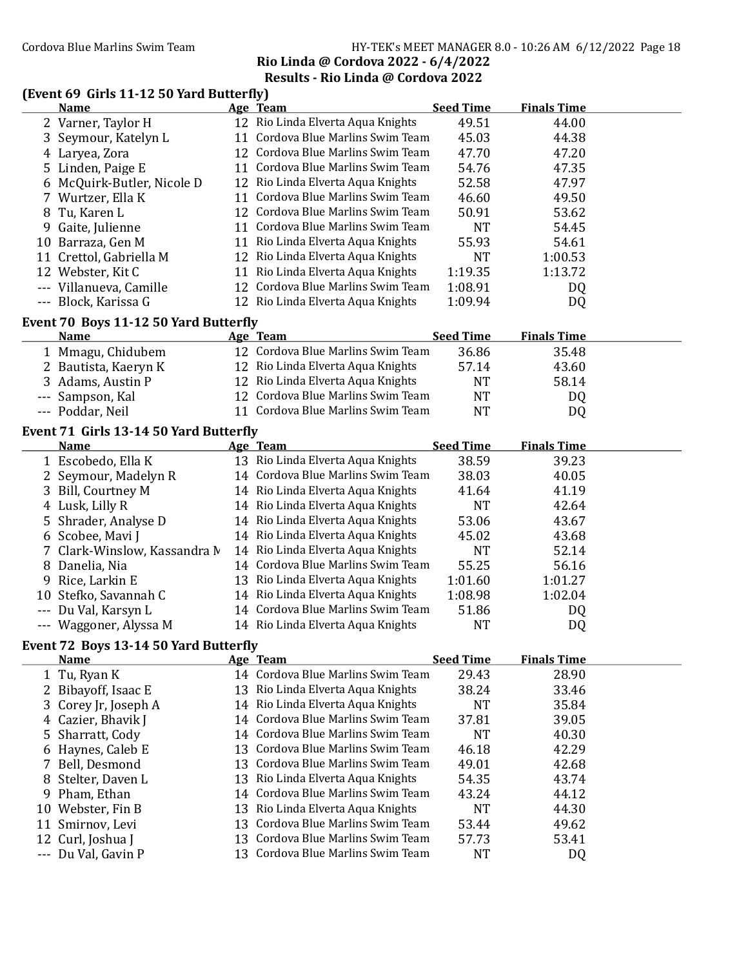#### Cordova Blue Marlins Swim Team HY-TEK's MEET MANAGER 8.0 - 10:26 AM 6/12/2022 Page 18 Rio Linda @ Cordova 2022 - 6/4/2022

## Results - Rio Linda @ Cordova 2022

#### $(Event 69$  Girls  $11-12 50$  Yard Butterfly)

|    | <b>Name</b>                                          |    | Age Team                          | <b>Seed Time</b> | <b>Finals Time</b> |  |
|----|------------------------------------------------------|----|-----------------------------------|------------------|--------------------|--|
|    | 2 Varner, Taylor H                                   |    | 12 Rio Linda Elverta Aqua Knights | 49.51            | 44.00              |  |
| 3  | Seymour, Katelyn L                                   |    | 11 Cordova Blue Marlins Swim Team | 45.03            | 44.38              |  |
| 4  | Laryea, Zora                                         |    | 12 Cordova Blue Marlins Swim Team | 47.70            | 47.20              |  |
| 5  | Linden, Paige E                                      |    | 11 Cordova Blue Marlins Swim Team | 54.76            | 47.35              |  |
| 6  | McQuirk-Butler, Nicole D                             |    | 12 Rio Linda Elverta Aqua Knights | 52.58            | 47.97              |  |
| 7. | Wurtzer, Ella K                                      |    | 11 Cordova Blue Marlins Swim Team | 46.60            | 49.50              |  |
| 8  | Tu, Karen L                                          |    | 12 Cordova Blue Marlins Swim Team | 50.91            | 53.62              |  |
| 9  | Gaite, Julienne                                      |    | 11 Cordova Blue Marlins Swim Team | <b>NT</b>        | 54.45              |  |
| 10 | Barraza, Gen M                                       |    | 11 Rio Linda Elverta Aqua Knights | 55.93            | 54.61              |  |
|    | 11 Crettol, Gabriella M                              |    | 12 Rio Linda Elverta Aqua Knights | <b>NT</b>        | 1:00.53            |  |
|    | 12 Webster, Kit C                                    |    | 11 Rio Linda Elverta Aqua Knights | 1:19.35          | 1:13.72            |  |
|    | --- Villanueva, Camille                              |    | 12 Cordova Blue Marlins Swim Team | 1:08.91          | DQ                 |  |
|    | --- Block, Karissa G                                 |    | 12 Rio Linda Elverta Aqua Knights | 1:09.94          | DQ                 |  |
|    | Event 70 Boys 11-12 50 Yard Butterfly                |    |                                   |                  |                    |  |
|    | <b>Name</b>                                          |    | Age Team                          | <b>Seed Time</b> | <b>Finals Time</b> |  |
|    | 1 Mmagu, Chidubem                                    |    | 12 Cordova Blue Marlins Swim Team | 36.86            | 35.48              |  |
|    | 2 Bautista, Kaeryn K                                 |    | 12 Rio Linda Elverta Aqua Knights | 57.14            | 43.60              |  |
| 3  | Adams, Austin P                                      |    | 12 Rio Linda Elverta Aqua Knights | <b>NT</b>        | 58.14              |  |
|    | Sampson, Kal                                         |    | 12 Cordova Blue Marlins Swim Team | <b>NT</b>        | DQ                 |  |
|    | --- Poddar, Neil                                     |    | 11 Cordova Blue Marlins Swim Team | <b>NT</b>        | DQ                 |  |
|    | Event 71 Girls 13-14 50 Yard Butterfly               |    |                                   |                  |                    |  |
|    | <b>Name</b>                                          |    | Age Team                          | <b>Seed Time</b> | <b>Finals Time</b> |  |
|    | 1 Escobedo, Ella K                                   |    | 13 Rio Linda Elverta Aqua Knights | 38.59            | 39.23              |  |
|    | 2 Seymour, Madelyn R                                 |    | 14 Cordova Blue Marlins Swim Team | 38.03            | 40.05              |  |
| 3  | Bill, Courtney M                                     |    | 14 Rio Linda Elverta Aqua Knights | 41.64            | 41.19              |  |
| 4  | Lusk, Lilly R                                        |    | 14 Rio Linda Elverta Aqua Knights | <b>NT</b>        | 42.64              |  |
| 5  | Shrader, Analyse D                                   |    | 14 Rio Linda Elverta Aqua Knights | 53.06            | 43.67              |  |
| 6  | Scobee, Mavi J                                       |    | 14 Rio Linda Elverta Aqua Knights | 45.02            | 43.68              |  |
| 7  | Clark-Winslow, Kassandra M                           |    | 14 Rio Linda Elverta Aqua Knights | <b>NT</b>        | 52.14              |  |
| 8  | Danelia, Nia                                         |    | 14 Cordova Blue Marlins Swim Team | 55.25            | 56.16              |  |
| 9  | Rice, Larkin E                                       |    | 13 Rio Linda Elverta Aqua Knights | 1:01.60          | 1:01.27            |  |
|    | 10 Stefko, Savannah C                                |    | 14 Rio Linda Elverta Aqua Knights | 1:08.98          | 1:02.04            |  |
|    | --- Du Val, Karsyn L                                 |    | 14 Cordova Blue Marlins Swim Team | 51.86            | DQ                 |  |
|    | --- Waggoner, Alyssa M                               |    | 14 Rio Linda Elverta Aqua Knights | <b>NT</b>        | DQ                 |  |
|    |                                                      |    |                                   |                  |                    |  |
|    | Event 72 Boys 13-14 50 Yard Butterfly<br><b>Name</b> |    | Age Team                          | <b>Seed Time</b> | <b>Finals Time</b> |  |
|    | 1 Tu, Ryan K                                         |    | 14 Cordova Blue Marlins Swim Team | 29.43            | 28.90              |  |
| 2  | Bibayoff, Isaac E                                    | 13 | Rio Linda Elverta Aqua Knights    | 38.24            | 33.46              |  |
| 3  | Corey Jr, Joseph A                                   | 14 | Rio Linda Elverta Aqua Knights    | <b>NT</b>        | 35.84              |  |
| 4  | Cazier, Bhavik J                                     | 14 | Cordova Blue Marlins Swim Team    | 37.81            | 39.05              |  |
| 5  | Sharratt, Cody                                       | 14 | Cordova Blue Marlins Swim Team    | <b>NT</b>        | 40.30              |  |
| 6  | Haynes, Caleb E                                      | 13 | Cordova Blue Marlins Swim Team    | 46.18            | 42.29              |  |
|    | Bell, Desmond                                        | 13 | Cordova Blue Marlins Swim Team    | 49.01            | 42.68              |  |
| 8  | Stelter, Daven L                                     |    | 13 Rio Linda Elverta Aqua Knights | 54.35            | 43.74              |  |
| 9  | Pham, Ethan                                          | 14 | Cordova Blue Marlins Swim Team    | 43.24            | 44.12              |  |
| 10 | Webster, Fin B                                       | 13 | Rio Linda Elverta Aqua Knights    | <b>NT</b>        | 44.30              |  |
| 11 | Smirnov, Levi                                        | 13 | Cordova Blue Marlins Swim Team    | 53.44            | 49.62              |  |
| 12 | Curl, Joshua J                                       |    | 13 Cordova Blue Marlins Swim Team | 57.73            | 53.41              |  |
|    | --- Du Val, Gavin P                                  |    | 13 Cordova Blue Marlins Swim Team | <b>NT</b>        | DQ                 |  |
|    |                                                      |    |                                   |                  |                    |  |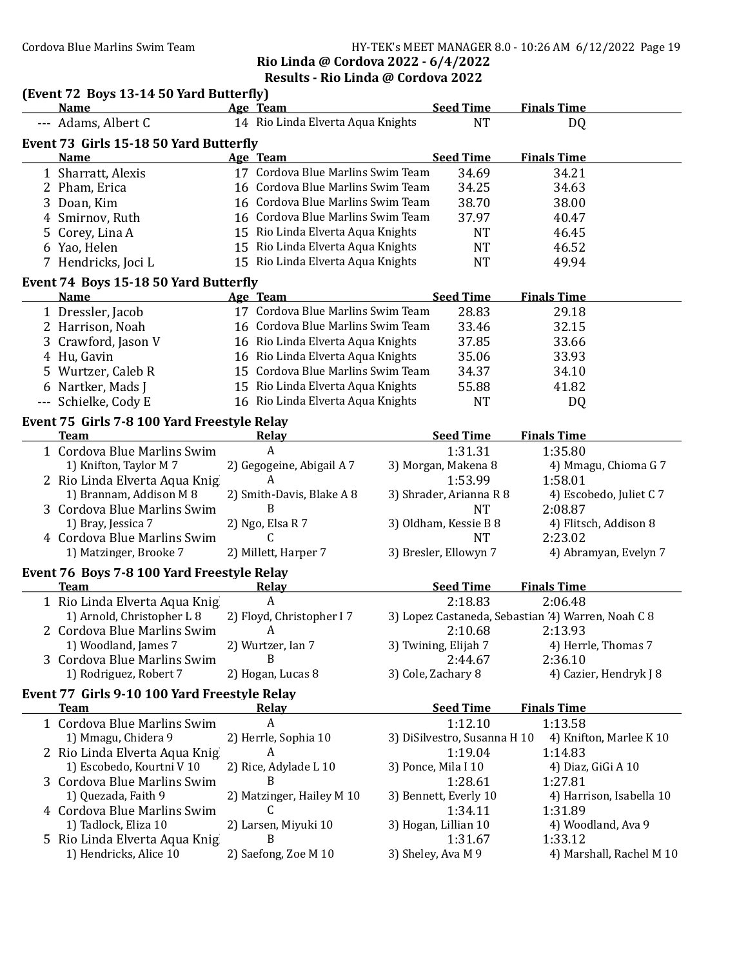## Cordova Blue Marlins Swim Team HY-TEK's MEET MANAGER 8.0 - 10:26 AM 6/12/2022 Page 19 Rio Linda @ Cordova 2022 - 6/4/2022

## Results - Rio Linda @ Cordova 2022

|   | (Event 72 Boys 13-14 50 Yard Butterfly)                     |                                               |                              |                                                    |
|---|-------------------------------------------------------------|-----------------------------------------------|------------------------------|----------------------------------------------------|
|   | <b>Name</b>                                                 | Age Team                                      | <b>Seed Time</b>             | <b>Finals Time</b>                                 |
|   | --- Adams, Albert C                                         | 14 Rio Linda Elverta Aqua Knights             | <b>NT</b>                    | DQ                                                 |
|   | Event 73 Girls 15-18 50 Yard Butterfly                      |                                               |                              |                                                    |
|   | <b>Name</b>                                                 | Age Team<br>17 Cordova Blue Marlins Swim Team | <b>Seed Time</b>             | <b>Finals Time</b>                                 |
|   | 1 Sharratt, Alexis                                          |                                               | 34.69                        | 34.21                                              |
|   | 2 Pham, Erica                                               | 16 Cordova Blue Marlins Swim Team             | 34.25                        | 34.63                                              |
| 3 | Doan, Kim                                                   | 16 Cordova Blue Marlins Swim Team             | 38.70                        | 38.00                                              |
| 4 | Smirnov, Ruth                                               | 16 Cordova Blue Marlins Swim Team             | 37.97                        | 40.47                                              |
| 5 | Corey, Lina A                                               | 15 Rio Linda Elverta Aqua Knights             | <b>NT</b>                    | 46.45                                              |
|   | 6 Yao, Helen                                                | 15 Rio Linda Elverta Aqua Knights             | <b>NT</b>                    | 46.52                                              |
|   | 7 Hendricks, Joci L                                         | 15 Rio Linda Elverta Aqua Knights             | <b>NT</b>                    | 49.94                                              |
|   | Event 74 Boys 15-18 50 Yard Butterfly                       |                                               |                              |                                                    |
|   | <b>Name</b>                                                 | Age Team                                      | <b>Seed Time</b>             | <b>Finals Time</b>                                 |
|   | 1 Dressler, Jacob                                           | 17 Cordova Blue Marlins Swim Team             | 28.83                        | 29.18                                              |
|   | 2 Harrison, Noah                                            | 16 Cordova Blue Marlins Swim Team             | 33.46                        | 32.15                                              |
|   | 3 Crawford, Jason V                                         | 16 Rio Linda Elverta Aqua Knights             | 37.85                        | 33.66                                              |
|   | 4 Hu, Gavin                                                 | 16 Rio Linda Elverta Aqua Knights             | 35.06                        | 33.93                                              |
|   | 5 Wurtzer, Caleb R                                          | 15 Cordova Blue Marlins Swim Team             | 34.37                        | 34.10                                              |
|   | 6 Nartker, Mads J                                           | 15 Rio Linda Elverta Aqua Knights             | 55.88                        | 41.82                                              |
|   | --- Schielke, Cody E                                        | 16 Rio Linda Elverta Aqua Knights             | <b>NT</b>                    | DQ                                                 |
|   | Event 75 Girls 7-8 100 Yard Freestyle Relay                 |                                               |                              |                                                    |
|   | <b>Team</b>                                                 | <b>Relay</b>                                  | <b>Seed Time</b>             | <b>Finals Time</b>                                 |
|   | 1 Cordova Blue Marlins Swim                                 | A                                             | 1:31.31                      | 1:35.80                                            |
|   | 1) Knifton, Taylor M 7                                      | 2) Gegogeine, Abigail A 7                     | 3) Morgan, Makena 8          | 4) Mmagu, Chioma G 7                               |
|   | 2 Rio Linda Elverta Aqua Knig                               | A                                             | 1:53.99                      | 1:58.01                                            |
|   | 1) Brannam, Addison M 8                                     | 2) Smith-Davis, Blake A 8                     | 3) Shrader, Arianna R 8      | 4) Escobedo, Juliet C 7                            |
|   | 3 Cordova Blue Marlins Swim                                 | B                                             | <b>NT</b>                    | 2:08.87                                            |
|   | 1) Bray, Jessica 7                                          | 2) Ngo, Elsa R 7                              | 3) Oldham, Kessie B 8        | 4) Flitsch, Addison 8                              |
|   | 4 Cordova Blue Marlins Swim                                 | C                                             | <b>NT</b>                    | 2:23.02                                            |
|   | 1) Matzinger, Brooke 7                                      | 2) Millett, Harper 7                          | 3) Bresler, Ellowyn 7        | 4) Abramyan, Evelyn 7                              |
|   | Event 76 Boys 7-8 100 Yard Freestyle Relay                  |                                               |                              |                                                    |
|   | <b>Team</b>                                                 | Relay<br>$\boldsymbol{A}$                     | <b>Seed Time</b><br>2:18.83  | <b>Finals Time</b><br>2:06.48                      |
|   | 1 Rio Linda Elverta Aqua Knig<br>1) Arnold, Christopher L 8 | 2) Floyd, Christopher I7                      |                              | 3) Lopez Castaneda, Sebastian '4) Warren, Noah C 8 |
|   | 2 Cordova Blue Marlins Swim A                               |                                               |                              | 2:10.68 2:13.93                                    |
|   | 1) Woodland, James 7                                        | 2) Wurtzer, Ian 7                             | 3) Twining, Elijah 7         | 4) Herrle, Thomas 7                                |
|   | 3 Cordova Blue Marlins Swim                                 | B                                             | 2:44.67                      | 2:36.10                                            |
|   | 1) Rodriguez, Robert 7                                      | 2) Hogan, Lucas 8                             | 3) Cole, Zachary 8           | 4) Cazier, Hendryk J 8                             |
|   |                                                             |                                               |                              |                                                    |
|   | Event 77 Girls 9-10 100 Yard Freestyle Relay<br><b>Team</b> | <b>Relay</b>                                  | <b>Seed Time</b>             | <b>Finals Time</b>                                 |
|   | 1 Cordova Blue Marlins Swim                                 | A                                             | 1:12.10                      | 1:13.58                                            |
|   | 1) Mmagu, Chidera 9                                         | 2) Herrle, Sophia 10                          | 3) DiSilvestro, Susanna H 10 | 4) Knifton, Marlee K 10                            |
|   | 2 Rio Linda Elverta Aqua Knig                               | A                                             | 1:19.04                      | 1:14.83                                            |
|   | 1) Escobedo, Kourtni V 10                                   | 2) Rice, Adylade L 10                         | 3) Ponce, Mila I 10          | 4) Diaz, GiGi A 10                                 |
|   | 3 Cordova Blue Marlins Swim                                 | B                                             | 1:28.61                      | 1:27.81                                            |
|   | 1) Quezada, Faith 9                                         | 2) Matzinger, Hailey M 10                     | 3) Bennett, Everly 10        | 4) Harrison, Isabella 10                           |
|   | 4 Cordova Blue Marlins Swim                                 | C                                             | 1:34.11                      | 1:31.89                                            |
|   | 1) Tadlock, Eliza 10                                        | 2) Larsen, Miyuki 10                          | 3) Hogan, Lillian 10         | 4) Woodland, Ava 9                                 |
|   | 5 Rio Linda Elverta Aqua Knig                               | B                                             | 1:31.67                      | 1:33.12                                            |
|   | 1) Hendricks, Alice 10                                      | 2) Saefong, Zoe M 10                          | 3) Sheley, Ava M 9           | 4) Marshall, Rachel M 10                           |
|   |                                                             |                                               |                              |                                                    |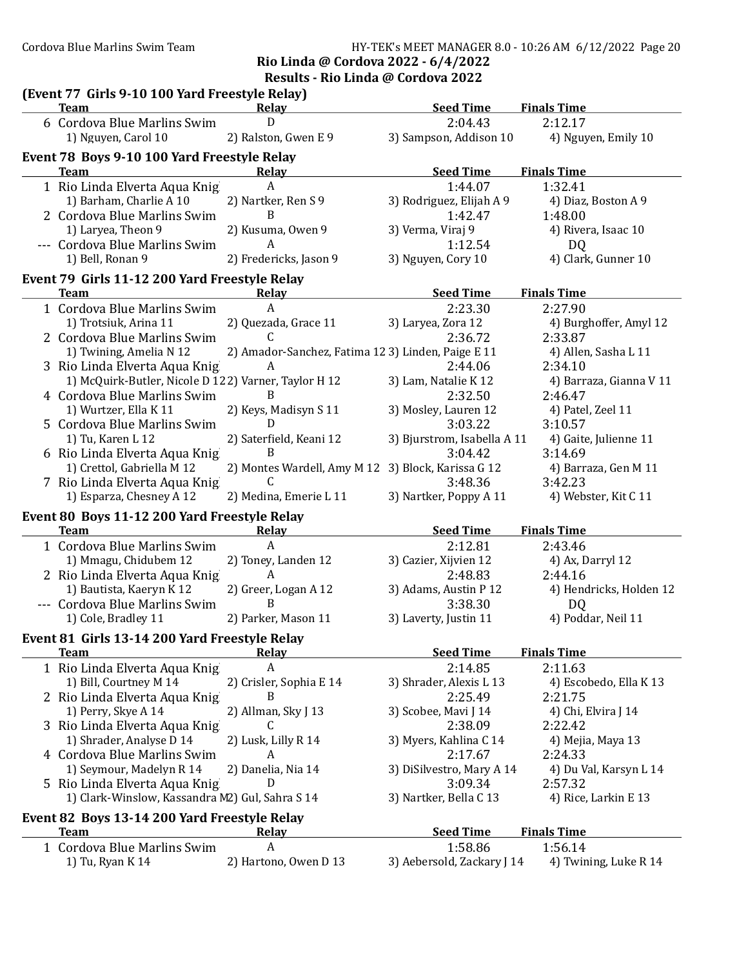#### Cordova Blue Marlins Swim Team HY-TEK's MEET MANAGER 8.0 - 10:26 AM 6/12/2022 Page 20 Rio Linda @ Cordova 2022 - 6/4/2022

Results - Rio Linda @ Cordova 2022

| (Event 77 Girls 9-10 100 Yard Freestyle Relay)<br><b>Team</b> | Relay                                             | <b>Seed Time</b>            | <b>Finals Time</b>      |
|---------------------------------------------------------------|---------------------------------------------------|-----------------------------|-------------------------|
| 6 Cordova Blue Marlins Swim                                   | D                                                 | 2:04.43                     | 2:12.17                 |
| 1) Nguyen, Carol 10                                           | 2) Ralston, Gwen E 9                              | 3) Sampson, Addison 10      | 4) Nguyen, Emily 10     |
| Event 78 Boys 9-10 100 Yard Freestyle Relay                   |                                                   |                             |                         |
| <b>Team</b>                                                   | Relay                                             | <b>Seed Time</b>            | <b>Finals Time</b>      |
| 1 Rio Linda Elverta Aqua Knig                                 | A                                                 | 1:44.07                     | 1:32.41                 |
| 1) Barham, Charlie A 10                                       | 2) Nartker, Ren S 9                               | 3) Rodriguez, Elijah A 9    | 4) Diaz, Boston A 9     |
| 2 Cordova Blue Marlins Swim                                   | B                                                 | 1:42.47                     | 1:48.00                 |
| 1) Laryea, Theon 9                                            | 2) Kusuma, Owen 9                                 | 3) Verma, Viraj 9           | 4) Rivera, Isaac 10     |
| --- Cordova Blue Marlins Swim                                 | A                                                 | 1:12.54                     | D <sub>Q</sub>          |
| 1) Bell, Ronan 9                                              | 2) Fredericks, Jason 9                            | 3) Nguyen, Cory 10          | 4) Clark, Gunner 10     |
|                                                               |                                                   |                             |                         |
| Event 79 Girls 11-12 200 Yard Freestyle Relay<br><b>Team</b>  | <b>Relay</b>                                      | <b>Seed Time</b>            | <b>Finals Time</b>      |
| 1 Cordova Blue Marlins Swim                                   | $\mathsf{A}$                                      | 2:23.30                     | 2:27.90                 |
| 1) Trotsiuk, Arina 11                                         | 2) Quezada, Grace 11                              | 3) Laryea, Zora 12          | 4) Burghoffer, Amyl 12  |
| 2 Cordova Blue Marlins Swim                                   | C                                                 | 2:36.72                     | 2:33.87                 |
| 1) Twining, Amelia N 12                                       | 2) Amador-Sanchez, Fatima 123) Linden, Paige E 11 |                             | 4) Allen, Sasha L 11    |
| 3 Rio Linda Elverta Aqua Knig                                 | A                                                 | 2:44.06                     | 2:34.10                 |
| 1) McQuirk-Butler, Nicole D 122) Varner, Taylor H 12          |                                                   | 3) Lam, Natalie K 12        | 4) Barraza, Gianna V 11 |
| 4 Cordova Blue Marlins Swim                                   | B                                                 | 2:32.50                     | 2:46.47                 |
| 1) Wurtzer, Ella K 11                                         | 2) Keys, Madisyn S 11                             | 3) Mosley, Lauren 12        | 4) Patel, Zeel 11       |
| 5 Cordova Blue Marlins Swim                                   | D                                                 | 3:03.22                     | 3:10.57                 |
| 1) Tu, Karen L 12                                             | 2) Saterfield, Keani 12                           | 3) Bjurstrom, Isabella A 11 | 4) Gaite, Julienne 11   |
|                                                               | B                                                 | 3:04.42                     | 3:14.69                 |
| 6 Rio Linda Elverta Aqua Knig<br>1) Crettol, Gabriella M 12   | 2) Montes Wardell, Amy M 12                       | 3) Block, Karissa G 12      | 4) Barraza, Gen M 11    |
| 7 Rio Linda Elverta Aqua Knig                                 | C                                                 | 3:48.36                     | 3:42.23                 |
| 1) Esparza, Chesney A 12                                      | 2) Medina, Emerie L 11                            | 3) Nartker, Poppy A 11      | 4) Webster, Kit C 11    |
|                                                               |                                                   |                             |                         |
| Event 80 Boys 11-12 200 Yard Freestyle Relay<br><b>Team</b>   | Relay                                             | <b>Seed Time</b>            | <b>Finals Time</b>      |
| 1 Cordova Blue Marlins Swim                                   | A                                                 | 2:12.81                     | 2:43.46                 |
| 1) Mmagu, Chidubem 12                                         | 2) Toney, Landen 12                               | 3) Cazier, Xijvien 12       | 4) Ax, Darryl 12        |
| 2 Rio Linda Elverta Aqua Knig                                 | A                                                 | 2:48.83                     | 2:44.16                 |
| 1) Bautista, Kaeryn K 12                                      | 2) Greer, Logan A 12                              | 3) Adams, Austin P 12       | 4) Hendricks, Holden 12 |
| --- Cordova Blue Marlins Swim                                 | B                                                 | 3:38.30                     | D <sub>Q</sub>          |
| 1) Cole, Bradley 11                                           | 2) Parker, Mason 11                               | 3) Laverty, Justin 11       | 4) Poddar, Neil 11      |
|                                                               |                                                   |                             |                         |
| Event 81 Girls 13-14 200 Yard Freestyle Relay<br><b>Team</b>  | <b>Relay</b>                                      | <b>Seed Time</b>            | <b>Finals Time</b>      |
| 1 Rio Linda Elverta Aqua Knig                                 | A                                                 | 2:14.85                     | 2:11.63                 |
| 1) Bill, Courtney M 14                                        | 2) Crisler, Sophia E 14                           | 3) Shrader, Alexis L 13     | 4) Escobedo, Ella K 13  |
| 2 Rio Linda Elverta Aqua Knig                                 | B                                                 | 2:25.49                     | 2:21.75                 |
| 1) Perry, Skye A 14                                           | 2) Allman, Sky J 13                               | 3) Scobee, Mavi J 14        | 4) Chi, Elvira J 14     |
| 3 Rio Linda Elverta Aqua Knig                                 | C                                                 | 2:38.09                     | 2:22.42                 |
| 1) Shrader, Analyse D 14                                      | 2) Lusk, Lilly R 14                               | 3) Myers, Kahlina C 14      | 4) Mejia, Maya 13       |
| 4 Cordova Blue Marlins Swim                                   | A                                                 | 2:17.67                     | 2:24.33                 |
| 1) Seymour, Madelyn R 14                                      | 2) Danelia, Nia 14                                | 3) DiSilvestro, Mary A 14   | 4) Du Val, Karsyn L 14  |
| 5 Rio Linda Elverta Aqua Knig                                 | D                                                 | 3:09.34                     | 2:57.32                 |
| 1) Clark-Winslow, Kassandra M2) Gul, Sahra S 14               |                                                   | 3) Nartker, Bella C 13      | 4) Rice, Larkin E 13    |
|                                                               |                                                   |                             |                         |
| Event 82 Boys 13-14 200 Yard Freestyle Relay                  |                                                   |                             |                         |
| <b>Team</b>                                                   | <b>Relay</b>                                      | <b>Seed Time</b>            | <b>Finals Time</b>      |
| 1 Cordova Blue Marlins Swim                                   | $\boldsymbol{A}$                                  | 1:58.86                     | 1:56.14                 |
| 1) Tu, Ryan K 14                                              | 2) Hartono, Owen D 13                             | 3) Aebersold, Zackary J 14  | 4) Twining, Luke R 14   |